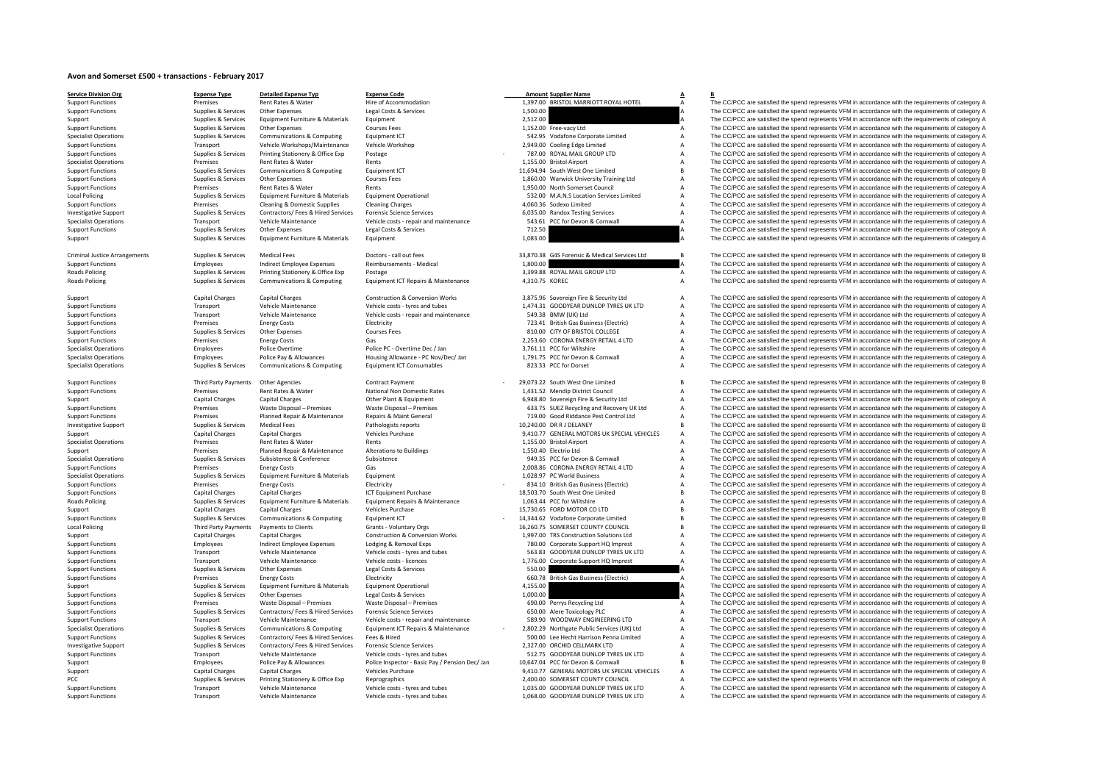## **Avon and Somerset £500 <sup>+</sup> transactions ‐ February 2017**

| <b>Service Division Org</b>                                  | <b>Expense Type</b>                            | <b>Detailed Expense Typ</b>                                              | <b>Expense Code</b>                                                   | <b>Amount Supplier Name</b>                                               | $\overline{A}$                   | В                                                                                                                                                                                                          |
|--------------------------------------------------------------|------------------------------------------------|--------------------------------------------------------------------------|-----------------------------------------------------------------------|---------------------------------------------------------------------------|----------------------------------|------------------------------------------------------------------------------------------------------------------------------------------------------------------------------------------------------------|
| <b>Support Functions</b>                                     | Premises                                       | Rent Rates & Water                                                       | Hire of Accommodation                                                 | 1,397.00 BRISTOL MARRIOTT ROYAL HOTEL                                     | $\overline{A}$                   | The CC/PCC are satisfied the spend represents VFM in accordance with the requirements of category A                                                                                                        |
| <b>Support Functions</b>                                     | Supplies & Services                            | Other Expenses                                                           | Legal Costs & Services                                                | 1,500.00                                                                  |                                  | The CC/PCC are satisfied the spend represents VFM in accordance with the requirements of category A                                                                                                        |
| Support                                                      | Supplies & Services                            | Equipment Furniture & Materials                                          | Equipment                                                             | 2,512.00                                                                  |                                  | The CC/PCC are satisfied the spend represents VFM in accordance with the requirements of category A                                                                                                        |
| <b>Support Functions</b><br><b>Specialist Operations</b>     | Supplies & Services<br>Supplies & Services     | Other Expenses<br>Communications & Computing                             | <b>Courses Fees</b><br>Equipment ICT                                  | 1,152.00 Free-vacy Ltd<br>542.95 Vodafone Corporate Limited               | Α<br>$\overline{A}$              | The CC/PCC are satisfied the spend represents VFM in accordance with the requirements of category A<br>The CC/PCC are satisfied the spend represents VFM in accordance with the requirements of category A |
| <b>Support Functions</b>                                     | Transport                                      | Vehicle Workshops/Maintenance                                            | Vehicle Workshop                                                      | 2,949.00 Cooling Edge Limited                                             | $\overline{A}$                   | The CC/PCC are satisfied the spend represents VFM in accordance with the requirements of category A                                                                                                        |
| <b>Support Functions</b>                                     | Supplies & Services                            | Printing Stationery & Office Exp                                         | Postage                                                               | 787.00 ROYAL MAIL GROUP LTD                                               | $\overline{A}$                   | The CC/PCC are satisfied the spend represents VFM in accordance with the requirements of category A                                                                                                        |
| <b>Specialist Operations</b>                                 | Premises                                       | Rent Rates & Water                                                       | Rents                                                                 | 1,155.00 Bristol Airport                                                  |                                  | The CC/PCC are satisfied the spend represents VFM in accordance with the requirements of category A                                                                                                        |
| <b>Support Functions</b>                                     | Supplies & Services                            | Communications & Computing                                               | Equipment ICT                                                         | 11,694.94 South West One Limited                                          | $\overline{B}$                   | The CC/PCC are satisfied the spend represents VFM in accordance with the requirements of category B                                                                                                        |
| <b>Support Functions</b>                                     | Supplies & Services                            | Other Expenses                                                           | <b>Courses Fees</b>                                                   | 1,860.00 Warwick University Training Ltd                                  | $\overline{A}$                   | The CC/PCC are satisfied the spend represents VFM in accordance with the requirements of category A                                                                                                        |
| <b>Support Functions</b>                                     | Premises                                       | Rent Rates & Water                                                       | Rents                                                                 | 1,950.00 North Somerset Council                                           | $\overline{A}$                   | The CC/PCC are satisfied the spend represents VFM in accordance with the requirements of category A                                                                                                        |
| <b>Local Policing</b>                                        | Supplies & Services                            | Equipment Furniture & Materials                                          | <b>Equipment Operational</b>                                          | 532.00 M.A.N.S Location Services Limited                                  |                                  | The CC/PCC are satisfied the spend represents VFM in accordance with the requirements of category A                                                                                                        |
| <b>Support Functions</b>                                     | Premises                                       | Cleaning & Domestic Supplies                                             | <b>Cleaning Charges</b>                                               | 4,060.36 Sodexo Limited                                                   |                                  | The CC/PCC are satisfied the spend represents VFM in accordance with the requirements of category A                                                                                                        |
| <b>Investigative Support</b>                                 | Supplies & Services                            | Contractors/ Fees & Hired Services                                       | <b>Forensic Science Services</b>                                      | 6,035.00 Randox Testing Services                                          |                                  | The CC/PCC are satisfied the spend represents VFM in accordance with the requirements of category A                                                                                                        |
| <b>Specialist Operations</b>                                 | Transport                                      | Vehicle Maintenance                                                      | Vehicle costs - repair and maintenance                                | 543.61 PCC for Devon & Cornwall                                           |                                  | The CC/PCC are satisfied the spend represents VFM in accordance with the requirements of category A                                                                                                        |
| <b>Support Functions</b>                                     | Supplies & Services                            | Other Expenses                                                           | Legal Costs & Services                                                | 712.50                                                                    |                                  | The CC/PCC are satisfied the spend represents VFM in accordance with the requirements of category A                                                                                                        |
| Support                                                      | Supplies & Services                            | Equipment Furniture & Materials                                          | Equipment                                                             | 1,083.00                                                                  |                                  | The CC/PCC are satisfied the spend represents VFM in accordance with the requirements of category A                                                                                                        |
| <b>Criminal Justice Arrangements</b>                         | Supplies & Services                            | <b>Medical Fees</b>                                                      | Doctors - call out fees                                               | 33,870.38 G4S Forensic & Medical Services Ltd                             | $\overline{B}$                   | The CC/PCC are satisfied the spend represents VFM in accordance with the requirements of category B                                                                                                        |
| <b>Support Functions</b>                                     | Employees                                      | <b>Indirect Employee Expenses</b>                                        | Reimbursements - Medical                                              | 1.800.00                                                                  |                                  | The CC/PCC are satisfied the spend represents VFM in accordance with the requirements of category A                                                                                                        |
| <b>Roads Policing</b>                                        | Supplies & Services                            | Printing Stationery & Office Exp                                         | Postage                                                               | 3,399.88 ROYAL MAIL GROUP LTD                                             | A                                | The CC/PCC are satisfied the spend represents VFM in accordance with the requirements of category A                                                                                                        |
| <b>Roads Policing</b>                                        | Supplies & Services                            | Communications & Computing                                               | Equipment ICT Repairs & Maintenance                                   | 4,310.75 KOREC                                                            | $\Delta$                         | The CC/PCC are satisfied the spend represents VFM in accordance with the requirements of category A                                                                                                        |
| Support                                                      | <b>Capital Charges</b>                         | <b>Capital Charges</b>                                                   | <b>Construction &amp; Conversion Works</b>                            | 3,875.96 Sovereign Fire & Security Ltd                                    | $\mathsf A$                      | The CC/PCC are satisfied the spend represents VFM in accordance with the requirements of category A                                                                                                        |
| <b>Support Functions</b>                                     | Transport                                      | Vehicle Maintenance                                                      | Vehicle costs - tyres and tubes                                       | 1,474.31 GOODYEAR DUNLOP TYRES UK LTD                                     | $\overline{A}$                   | The CC/PCC are satisfied the spend represents VFM in accordance with the requirements of category A                                                                                                        |
| <b>Support Functions</b>                                     | Transport                                      | Vehicle Maintenance                                                      | Vehicle costs - repair and maintenance                                | 549.38 BMW (UK) Ltd                                                       | $\overline{A}$                   | The CC/PCC are satisfied the spend represents VFM in accordance with the requirements of category A                                                                                                        |
| <b>Support Functions</b>                                     | Premises                                       | <b>Energy Costs</b>                                                      | Electricity                                                           | 723.41 British Gas Business (Electric)                                    | $\overline{A}$                   | The CC/PCC are satisfied the spend represents VFM in accordance with the requirements of category A                                                                                                        |
| <b>Support Functions</b>                                     | Supplies & Services                            | Other Expenses                                                           | <b>Courses Fees</b>                                                   | 810.00 CITY OF BRISTOL COLLEGE                                            | $\overline{A}$                   | The CC/PCC are satisfied the spend represents VFM in accordance with the requirements of category A                                                                                                        |
| <b>Support Functions</b>                                     | Premises                                       | <b>Energy Costs</b>                                                      | Gas                                                                   | 2,253.60 CORONA ENERGY RETAIL 4 LTD                                       | $\overline{A}$                   | The CC/PCC are satisfied the spend represents VFM in accordance with the requirements of category A                                                                                                        |
| <b>Specialist Operations</b>                                 | Employees                                      | Police Overtime<br>Police Pay & Allowances                               | Police PC - Overtime Dec / Jan<br>Housing Allowance - PC Nov/Dec/ Jan | 3.761.11 PCC for Wiltshire<br>1,791.75 PCC for Devon & Cornwall           | $\overline{A}$<br>$\overline{A}$ | The CC/PCC are satisfied the spend represents VFM in accordance with the requirements of category A                                                                                                        |
| <b>Specialist Operations</b><br><b>Specialist Operations</b> | Employees<br>Supplies & Services               | Communications & Computing                                               | <b>Equipment ICT Consumables</b>                                      | 823.33 PCC for Dorset                                                     | $\overline{A}$                   | The CC/PCC are satisfied the spend represents VFM in accordance with the requirements of category A<br>The CC/PCC are satisfied the spend represents VFM in accordance with the requirements of category A |
|                                                              |                                                |                                                                          |                                                                       |                                                                           |                                  |                                                                                                                                                                                                            |
| <b>Support Functions</b>                                     | Third Party Payments                           | <b>Other Agencies</b>                                                    | Contract Payment                                                      | 29.073.22 South West One Limited                                          | $\overline{B}$                   | The CC/PCC are satisfied the spend represents VFM in accordance with the requirements of category B                                                                                                        |
| <b>Support Functions</b>                                     | Premises                                       | Rent Rates & Water                                                       | National Non Domestic Rates                                           | 1,431.52 Mendip District Council                                          | $\overline{A}$                   | The CC/PCC are satisfied the spend represents VFM in accordance with the requirements of category A                                                                                                        |
| Support                                                      | <b>Capital Charges</b>                         | <b>Capital Charges</b>                                                   | Other Plant & Equipment                                               | 6,948.80 Sovereign Fire & Security Ltd                                    | $\overline{A}$                   | The CC/PCC are satisfied the spend represents VFM in accordance with the requirements of category A                                                                                                        |
| <b>Support Functions</b>                                     | Premises                                       | Waste Disposal - Premises                                                | Waste Disposal - Premises                                             | 633.75 SUEZ Recycling and Recovery UK Ltd                                 | $\overline{A}$                   | The CC/PCC are satisfied the spend represents VFM in accordance with the requirements of category A                                                                                                        |
| <b>Support Functions</b>                                     | Premises                                       | Planned Repair & Maintenance<br><b>Medical Fees</b>                      | Repairs & Maint General<br>Pathologists reports                       | 719.00 Good Riddance Pest Control Ltd<br>10.240.00 DR R J DELANEY         |                                  | The CC/PCC are satisfied the spend represents VFM in accordance with the requirements of category A<br>The CC/PCC are satisfied the spend represents VFM in accordance with the requirements of category B |
| <b>Investigative Support</b><br>Support                      | Supplies & Services<br><b>Capital Charges</b>  | <b>Capital Charges</b>                                                   | Vehicles Purchase                                                     | 9,410.77 GENERAL MOTORS UK SPECIAL VEHICLES                               |                                  | The CC/PCC are satisfied the spend represents VFM in accordance with the requirements of category A                                                                                                        |
| <b>Specialist Operations</b>                                 | Premises                                       | <b>Rent Rates &amp; Water</b>                                            | Rents                                                                 | 1,155.00 Bristol Airport                                                  |                                  | The CC/PCC are satisfied the spend represents VFM in accordance with the requirements of category A                                                                                                        |
| Support                                                      | Premises                                       | Planned Repair & Maintenance                                             | <b>Alterations to Buildings</b>                                       | 1,550.40 Electrio Ltd                                                     |                                  | The CC/PCC are satisfied the spend represents VFM in accordance with the requirements of category A                                                                                                        |
| <b>Specialist Operations</b>                                 | Supplies & Services                            | Subsistence & Conference                                                 | Subsistence                                                           | 949.35 PCC for Devon & Cornwall                                           |                                  | The CC/PCC are satisfied the spend represents VFM in accordance with the requirements of category A                                                                                                        |
| <b>Support Functions</b>                                     | Premises                                       | <b>Energy Costs</b>                                                      | Gas                                                                   | 2,008.86 CORONA ENERGY RETAIL 4 LTD                                       |                                  | The CC/PCC are satisfied the spend represents VFM in accordance with the requirements of category A                                                                                                        |
| <b>Specialist Operations</b>                                 | Supplies & Services                            | Equipment Furniture & Materials                                          | Equipment                                                             | 1,028.97 PC World Business                                                |                                  | The CC/PCC are satisfied the spend represents VFM in accordance with the requirements of category A                                                                                                        |
| <b>Support Functions</b>                                     | Premises                                       | <b>Energy Costs</b>                                                      | Electricity                                                           | 834.10 British Gas Business (Electric)                                    | $\overline{A}$                   | The CC/PCC are satisfied the spend represents VFM in accordance with the requirements of category A                                                                                                        |
| <b>Support Functions</b>                                     | <b>Capital Charges</b>                         | <b>Capital Charges</b>                                                   | <b>ICT Equipment Purchase</b>                                         | 18,503.70 South West One Limited                                          | $\overline{B}$                   | The CC/PCC are satisfied the spend represents VFM in accordance with the requirements of category B                                                                                                        |
| <b>Roads Policing</b>                                        | Supplies & Services                            | Equipment Furniture & Materials                                          | Equipment Repairs & Maintenance                                       | 1.063.44 PCC for Wiltshire                                                | $\overline{A}$                   | The CC/PCC are satisfied the spend represents VFM in accordance with the requirements of category A                                                                                                        |
| Support                                                      | <b>Capital Charges</b>                         | <b>Capital Charges</b>                                                   | Vehicles Purchase                                                     | 15,730.65 FORD MOTOR CO LTD                                               | $\overline{B}$                   | The CC/PCC are satisfied the spend represents VFM in accordance with the requirements of category B                                                                                                        |
| <b>Support Functions</b>                                     | Supplies & Services                            | Communications & Computing<br>Payments to Clients                        | Equipment ICT                                                         | 14,344.62 Vodafone Corporate Limited<br>16.260.75 SOMERSET COUNTY COUNCIL | $\overline{B}$                   | The CC/PCC are satisfied the spend represents VFM in accordance with the requirements of category B<br>The CC/PCC are satisfied the spend represents VFM in accordance with the requirements of category B |
| <b>Local Policing</b><br>Support                             | Third Party Payments<br><b>Capital Charges</b> | <b>Capital Charges</b>                                                   | Grants - Voluntary Orgs<br><b>Construction &amp; Conversion Works</b> | 1,997.00 TRS Construction Solutions Ltd                                   | $\overline{A}$                   | The CC/PCC are satisfied the spend represents VFM in accordance with the requirements of category A                                                                                                        |
| <b>Support Functions</b>                                     | Employees                                      | Indirect Employee Expenses                                               | Lodging & Removal Exps                                                | 780.00 Corporate Support HQ Imprest                                       | $\overline{A}$                   | The CC/PCC are satisfied the spend represents VFM in accordance with the requirements of category A                                                                                                        |
| <b>Support Functions</b>                                     | Transport                                      | Vehicle Maintenance                                                      | Vehicle costs - tyres and tubes                                       | 563.83 GOODYEAR DUNLOP TYRES UK LTD                                       | $\overline{A}$                   | The CC/PCC are satisfied the spend represents VFM in accordance with the requirements of category A                                                                                                        |
| <b>Support Functions</b>                                     | Transport                                      | Vehicle Maintenance                                                      | Vehicle costs - licences                                              | 1,776.00 Corporate Support HQ Imprest                                     |                                  | The CC/PCC are satisfied the spend represents VFM in accordance with the requirements of category A                                                                                                        |
| <b>Support Functions</b>                                     | Supplies & Services                            | Other Expenses                                                           | Legal Costs & Services                                                | 550.00                                                                    |                                  | The CC/PCC are satisfied the spend represents VFM in accordance with the requirements of category A                                                                                                        |
| <b>Support Functions</b>                                     | Premises                                       | <b>Energy Costs</b>                                                      | Electricity                                                           | 660.78 British Gas Business (Electric)                                    | A                                | The CC/PCC are satisfied the spend represents VFM in accordance with the requirements of category A                                                                                                        |
| Support                                                      | Supplies & Services                            | Equipment Furniture & Materials                                          | <b>Equipment Operational</b>                                          | 4,155.00                                                                  |                                  | The CC/PCC are satisfied the spend represents VFM in accordance with the requirements of category A                                                                                                        |
| <b>Support Functions</b>                                     | Supplies & Services                            | Other Expenses                                                           | Legal Costs & Services                                                | 1,000.00                                                                  |                                  | The CC/PCC are satisfied the spend represents VFM in accordance with the requirements of category A                                                                                                        |
| <b>Support Functions</b>                                     | Premises                                       | Waste Disposal - Premises                                                | Waste Disposal - Premises                                             | 690.00 Perrys Recycling Ltd                                               |                                  | The CC/PCC are satisfied the spend represents VFM in accordance with the requirements of category A                                                                                                        |
| <b>Support Functions</b>                                     | Supplies & Services                            | Contractors/ Fees & Hired Services                                       | <b>Forensic Science Services</b>                                      | 650.00 Alere Toxicology PLC                                               |                                  | The CC/PCC are satisfied the spend represents VFM in accordance with the requirements of category A                                                                                                        |
| <b>Support Functions</b>                                     | Transport                                      | Vehicle Maintenance                                                      | Vehicle costs - repair and maintenance                                | 589.90 WOODWAY ENGINEERING LTD                                            | $\overline{A}$                   | The CC/PCC are satisfied the spend represents VFM in accordance with the requirements of category A                                                                                                        |
| <b>Specialist Operations</b>                                 | Supplies & Services                            | Communications & Computing                                               | Equipment ICT Repairs & Maintenance                                   | 2,802.29 Northgate Public Services (UK) Ltd                               | $\overline{A}$                   | The CC/PCC are satisfied the spend represents VFM in accordance with the requirements of category A<br>The CC/PCC are satisfied the spend represents VFM in accordance with the requirements of category A |
| <b>Support Functions</b><br><b>Investigative Support</b>     | Supplies & Services<br>Supplies & Services     | Contractors/ Fees & Hired Services<br>Contractors/ Fees & Hired Services | Fees & Hired<br><b>Forensic Science Services</b>                      | 500.00 Lee Hecht Harrison Penna Limited<br>2,327.00 ORCHID CELLMARK LTD   | $\overline{A}$                   | The CC/PCC are satisfied the spend represents VFM in accordance with the requirements of category A                                                                                                        |
| <b>Support Functions</b>                                     | Transport                                      | Vehicle Maintenance                                                      | Vehicle costs - tyres and tubes                                       | 512.75 GOODYEAR DUNLOP TYRES UK LTD                                       |                                  | The CC/PCC are satisfied the spend represents VFM in accordance with the requirements of category A                                                                                                        |
| Support                                                      | Employees                                      | Police Pay & Allowances                                                  | Police Inspector - Basic Pay / Pension Dec/ Jan                       | 10,647.04 PCC for Devon & Cornwall                                        |                                  | The CC/PCC are satisfied the spend represents VFM in accordance with the requirements of category B                                                                                                        |
| Support                                                      | <b>Capital Charges</b>                         | <b>Capital Charges</b>                                                   | Vehicles Purchase                                                     | 9,410.77 GENERAL MOTORS UK SPECIAL VEHICLES                               |                                  | The CC/PCC are satisfied the spend represents VFM in accordance with the requirements of category A                                                                                                        |
| PCC                                                          | Supplies & Services                            | Printing Stationery & Office Exp                                         | Reprographics                                                         | 2.400.00 SOMERSET COUNTY COUNCIL                                          |                                  | The CC/PCC are satisfied the spend represents VFM in accordance with the requirements of category A                                                                                                        |
| <b>Support Functions</b>                                     | Transport                                      | Vehicle Maintenance                                                      | Vehicle costs - tyres and tubes                                       | 1,035.00 GOODYEAR DUNLOP TYRES UK LTD                                     | $\mathbf{A}$                     | The CC/PCC are satisfied the spend represents VFM in accordance with the requirements of category A                                                                                                        |
| <b>Support Functions</b>                                     | Transport                                      | Vehicle Maintenance                                                      | Vehicle costs - tyres and tubes                                       | 1.068.00 GOODYFAR DUNLOP TYRES UK LTD                                     |                                  | The CC/PCC are satisfied the spend represents VEM in accordance with the requirements of category A                                                                                                        |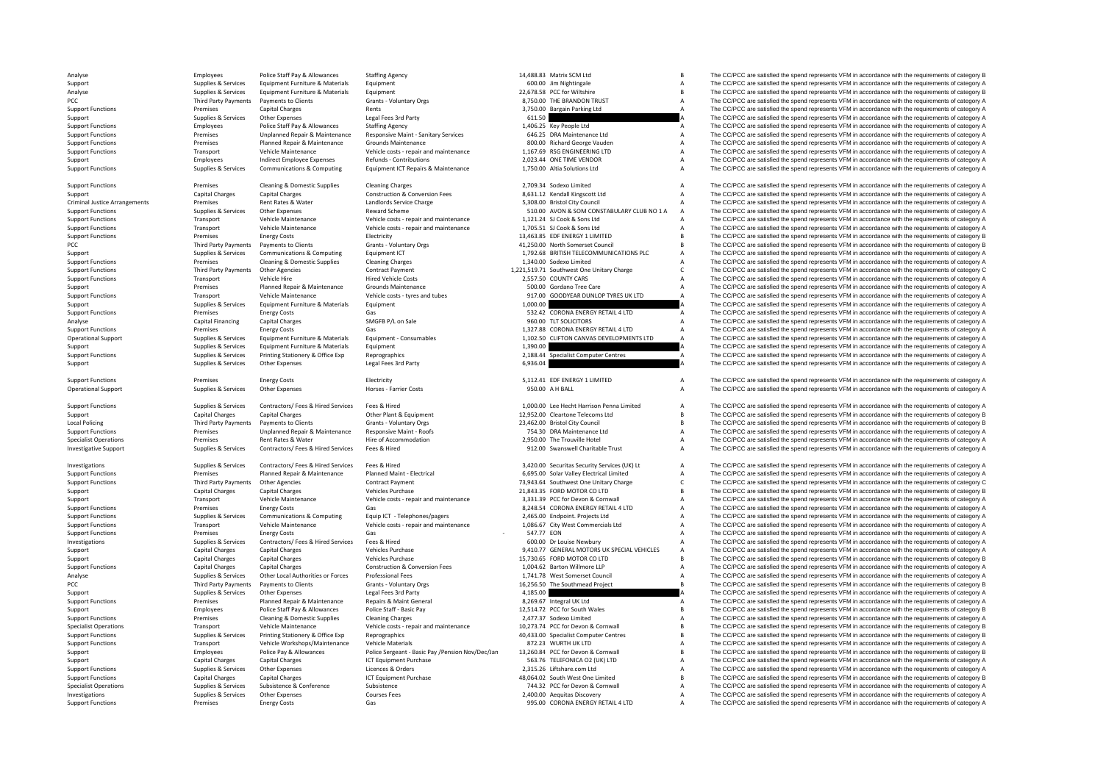PCC Third Party Payments Criminal JusticeLocal Policing PCC Third Party Payments

**Third Party Payments** 

Analyse Employees Police Staff Pay & Allowances Staffing Agency 14,488.83 Matrix SCM Ltd B The CC/PCC are satisfied the spend represents VFM in accordance with the requirements of category B Support Supplies & Services Equipment Furniture & Materials Equipment Current Company and the Support Current Current Current Current Current Current Current Current Current Current Current Current Current Current Current Analyse Supplies & Services Equipment Furniture & Materials Equipment Equipment 20,678.58 PCC for Wiltshire 20,678.58 PCC for Wiltshire B The CC/PCC are satisfied the spend represents VFM in accordance with the requirement Payments to Clients Grants - Voluntary Orgs Category A STANDON TRUST A The CC/PCC are satisfied the spend represents VFM in accordance with the requirements of category A STANDON TRUST A The CC/PCC are satisfied the spend Support Functions Premises Capital Charges Rents Rents Rents Capital Charges Rents Capital Charges Rents Rents A The CC/PCC are satisfied the spend represents VFM in accordance with the requirements of category A Support C Supplies & Services Other Expenses Legal Fees 3rd Party 611.50 611.50 A The CC/PCC are satisfied the spend represents VFM in accordance with the requirements of category A Support Functions Employees Police Staff Pay & Allowances Staffing Agency Staffing Agency 1,406.25 Key People Ltd A The CC/PCC are satisfied the spend represents VFM in accordance with the requirements of category A Suppor Unplanned Repair & Maintenance Responsive Maint - Sanitary Services 646.25 DRA Maintenance Ltd A The CC/PCC are satisfied the spend represents VFM in accordance with the requirements of category A The CAPCC are satisfied t Support Functions Premises Planned Repair & Maintenance Grounds Maintenance Support and the Support Functions and the spend represents VFM in accordance with the requirements of category A Support Functions and the require Support Functions Transport Vehicle Maintenance Vehicle costs – repair and maintenance 1,167.69 RSG ENGINEERING LTD A The CC/PCC are satisfied the spend represents VFM in accordance with the requirements of category A The Support Employee Employee Employees Refunds Contributions 2,023.44 ONE THAE VENDOR A The CC/PCC are satisfied the spend represents VFM in accordance with the requirements of category A Support Functions Supplies & Services Communications & Computing Equipment ICT Repairs & Maintenance 1,750.00 Altia Solutions Ltd A The CC/PCC are satisfied the spend represents VFM in accordance with the requirements of c

Support Functions Premises Cleaning & Domestic Supplies Cleaning Charges 2,709.34 Sodexo Limited A The CC/PCC are satisfied the spend represents VFM in accordance with the requirements of category A Support Capital Charges Capital Charges Capital Charges Construction & Construction & Conversion Fees 8,631.12 Kendall Kingscott Ltd A The CC/PCC are satisfied the spend represents VFM in accordance with the requirements o Arring Understandent Rent Rates Premises Rent Rates & Water Landlords Service Charge Charge 5,308.00 Bristol City Council A The CC/PCC are satisfied the spend represents VFM in accordance with the requirements of category Supplies & Services Other Expenses Reward Scheme Reward Scheme 510.00 AVON & SOM CONSTABULARY CLUB NO 1 A The CC/PCC are satisfied the spend represents VFM in accordance with the requirements of category A Support Functions Transport Vehicle Maintenance Vehicle costs ‐ repair and maintenance 1,121.24 SJ Cook & Sons Ltd A The CC/PCC are satisfied the spend represents VFM in accordance with the requirements of category A Suppo Support Transport Vehicle Maintenance Vehicle costs - repair and maintenance 1,705.51 SJ Cook & Sons Ltd A The CC/PCC are satisfied the spend represents VFM in accordance with the requirements of category A Electricity and Support Functions Premises Energy Costs Electricity Electricity Electricity and the control of the CONCOST CONTENT CONTENT B The CC/PCC are satisfied the spend represents VFM in accordance with the requirements of category Payments to Clients Crants - Voluntary Orgs 600 Microsoft Council 41,250.00 North Somerset Council B The CC/PCC are satisfied the spend represents VFM in accordance with the requirements of category B Support Supplies & Supplies & Services Communications & Computing Equipment ICT a 1,792.68 BRITISH TELECOMMUNICATIONS PLC A The CC/PCC are satisfied the spend represents VFM in accordance with the requirements of category Support Functions Premises Cleaning & Domestic Supplies Cleaning Charges Cleaning Charges 1,340.00 Sodexo Limited A The CC/PCC are satisfied the spend represents VFM in accordance with the requirements of category A Suppor Support Functions Third Party Payments Other Agencies Contract Payment Contract Payment 1,221,519.71 Southwest One Unitary Charge C The CC/PCC are satisfied the spend represents VFM in accordance with the requirements of c The CC/PCC are satisfied the spend represents VFM in accordance with the requirements of category A Support Premises Planned Repair & Maintenance Grounds Maintenance Support Support Care and the Support Transport Premises Planned Repair & Maintenance Schedule and the Support Support of the Support of the Support of the S Support Functions Transport Vehicle Maintenance Vehicle costs – tyres and tubes 917.00 GOODYEAR DUNLOP TYRES UK LTD A The CC/PCC are satisfied the spend represents VFM in accordance with the requirements of category A Supp Support Support Support The CC/PCC are satisfied the spend represents VFM in accordance with the requirements of category A<br>A The CC/PCC are satisfied the spend represents VFM in accordance with the requirements of categor Support Functions Contracts Gas 532.42 CORONALENERGY RETAIL 4 LTD A The CC/PCC are satisfied the spend represents VFM in accordance with the requirements of category A Analyse Capital Financing Capital Charges SMGFB P/L on Sale 960.00 TLT SOLICITORS A The CC/PCC are satisfied the spend represents VFM in accordance with the requirements of category A<br>Support Functions a premises a premise Support Functions Premises Energy Costs Gas Gas Gas Content Consumables and the Support ETAIL 4 LTD A The CC/PCC are satisfied the spend represents VFM in accordance with the requirements of category A<br>Cup of the Support S The CC/PCC are satisfied the spend represents VFM in accordance with the requirements of category A Support Supplies & Services Equipment Furniture & Materials Equipment expendition and the materials of the CO/PCC are satisfied the spend represents VFM in accordance with the requirements of category A Support The CO/PCC Support Functions Supplies & Services Printing Stationery & Office Exp Reprographics 2,188.44 Specialist Computer Centres A The CC/PCC are satisfied the spend represents VFM in accordance with the requirements of category Support Supplies & Services Other Expenses Legal Fees 3rd Party 6,936.04 6,936.04 A The CC/PCC are satisfied the spend represents VFM in accordance with the requirements of category A

Support Functions Support Functions Energy Costs Electricity 5,112.41 EDE ENERGY 1 LIMITED A The CC/PCC are satisfied the spend represents VFM in accordance with the requirements of category A Operational Support Supplies & Services Other Expenses Horses - Farrier Costs 950.00 A H BALL A The CC/PCC are satisfied the spend represents VFM in accordance with the requirements of category A

Support Functions Suppliers Support Support Support Support Support Support Support Support of Contractors Contractors Fees & Hired Services Fees & Hired Support of Support of the Support of Contractors of Category A The C Support Capital Charges Capital Charges Capital Charges Other Plant & Equipment 12,952.00 Cleartone Telecoms Ltd B The CC/PCC are satisfied the spend represents VFM in accordance with the requirements of category B Crats V B The CC/PCC are satisfied the spend represents VFM in accordance with the requirements of category B Support Functions Premises Unplanned Repair & Maintenance Responsive Maint FROOfs 754.30 DRA Maintenance Ltd A The CC/PCC are satisfied the spend represents VFM in accordance with the requirements of category A Represents Specialist Operations Specialist Operations Premises Rent Rates & Water Hire of Accommodation Hire of Accommodation and the Trouville Hotel A The CC/PCC are satisfied the spend represents VFM in accordance with the require The CC/PCC are satisfied the spend represents VFM in accordance with the requirements of category A

Investigations Supplies & Services Contractors/ Fees & Hired Services Fees & Hired 3,420.00 Securitas Security Services (UK) Lt <sup>A</sup> The CC/PCC are satisfied the spend represents VFM in accordance with the requirements of category A Support Functions of the premises and the Planned Renair & Maintenance Planned Maint - Flectrical estable the COPCC are satisfied the spend represents VFM in accordance with the requirements of category A Support Functions Third Party Payments Other Agencies Contract Payment Contract Payment Contract Payment Contract Payment C The CC/PCC are satisfied the spend represents VFM in accordance with the requirements of category Support Capital Charges Capital Charges Vehicles Purchase Vehicles Purchase 21,843.35 FORD MOTOR CO LTD B The CC/PCC are satisfied the spend represents VFM in accordance with the requirements of category B<br>Support Transpor Support Transport Vehicle Maintenance Vehicle costs ‐ repair and maintenance 3,331.39 PCC for Devon & Cornwall A The CC/PCC are satisfied the spend represents VFM in accordance with the requirements of category A Support Functions Premises Energy Costs Gas Gas Gas Gas Basic Content Costs Gas 8,248.54 CORONA ENERGY RETAIL 4 LTD A The CC/PCC are satisfied the spend represents VFM in accordance with the requirements of category A<br>Supp Support Functions Supplies & Services Communications & Computing Equip ICT - Telephones/pagers 2,465.00 Endpoint. Projects Ltd AThe CC/PCC are satisfied the spend represents VFM in accordance with the requirements of categ Support Functions Transport Vehicle Maintenance Vehicle costs - repair and maintenance 1,086.67 City West Commercials Ltd A The CC/PCC are satisfied the spend represents VFM in accordance with the requirements of category Support Functions The CC/PCC are satisfied the spend represents VFM in accordance with the requirements of category A<br>
Support Functions Contact Area Energy Costs Gas Schief Contact of Category A The CC/PCC are satisfied t Investigations Supplies & Supplies & Services Contractors/ Fees & Hired Services Fees & Hired Fees & Hired 600.00 Dr Louise Newbury A The CC/PCC are satisfied the spend represents VFM in accordance with the requirements of Support Capital Charges Capital Charges Vehicles Purchase Vehicles Purchase 9,410.77 GENERAL MOTORS UK SPECIAL VEHICLES A The CC/PCC are satisfied the spend represents VFM in accordance with the requirements of category B<br> Support Capital Charges Capital Charges Vehicles Purchase Vehicles Purchase 15,730.65 FORD MOTOR CO LTD B The CC/PCC are satisfied the spend represents VFM in accordance with the requirements of category B Construction & C The CC/PCC are satisfied the spend represents VFM in accordance with the requirements of category A Analyse Supplies & Services Other Local Authorities or Forces Professional Fees 1,741.78 West Somerset Council A The CC/PCC are satisfied the spend represents VFM in accordance with the requirements of category A Grants V Third Party Payments Payments to Clients Grants - Voluntary Orgs 16,256.50 The Southmead Project B The CC/PCC are satisfied the spend represents VFM in accordance with the requirements of category B 16,256.50 The Southme Support Supplies & Services Other Expenses Legal Fees 3rd Party 4,185.00 4,185.00 A The CC/PCC are satisfied the spend represents VFM in accordance with the requirements of category A Support Functions Premises Planned Repair & Maintenance Repairs & Maint General 8,269.67 Integral UK Ltd A The CC/PCC are satisfied the spend represents VFM in accordance with the requirements of category B<br>Support Premier Support Employees Police Staff Pay & Allowances Police Staff - Basic Pay 12,514.72 PCC for South Wales B The CC/PCC are satisfied the spend represents VFM in accordance with the requirements of category B Support Functions Support Functions Premises Cleaning & Domestic Supplies Cleaning Charges Cleaning Charges 2,477.37 Sodexo Limited A The CC/PCC are satisfied the spend represents VFM in accordance with the requirements of category A Specia Transport Vehicle Maintenance Vehicle Costs - repair and maintenance 10.273.74 PCC for Devon & Cornwall B The CC/PCC are satisfied the spend represents VFM in accordance with the requirements of category B Support Functions Supplies & Services Printing Stationery & Office Exp Reprographics experime and a specialist Computer Centres B The CC/PCC are satisfied the spend represents VFM in accordance with the requirements of cat Support Functions Transport Vehicle Workshops/Maintenance Vehicle Materials 872.23 WURTH UK LTD A The CC/PCC are satisfied the spend represents VFM in accordance with the requirements of category A Employees Police Pay & Allowances Police Segeant - Basic Pay Persion Nov/Dec/Jan 13,260.84 PCC for Devon & Communall Communism Burk Care and the CC/PCC are satisfied the spend represents VFM in accordance with the requirem Support Capital Charges Capital Charges ICT Equipment Purchase 563.76 TELEFONICA O2 (UK) LTD A The CC/PCC are satisfied the spend represents VFM in accordance with the requirements of category A Support Functions Supplies & Services Other Expenses Licences & Orders Licences A Dreftshare.com Ltd 2,315.26 Liftshare.com Ltd A The CC/PCC are satisfied the spend represents VFM in accordance with the requirements of cat Support Functions Capital Charges Capital Charges ICT Equipment Purchase 48,064.02 South West One Limited B The CC/PCC are satisfied the spend represents VFM in accordance with the requirements of category B Specialist Operations Supplies & Services Subsistence Subsistence Subsistence 744.32 PCC for Devon & Cornwall A The CC/PCC are satisfied the spend represents VFM in accordance with the requirements of category A Investigations Supplies Services Other Expenses Courses Fees 2,400.00 Aequitas Discovery A The CC/PCC are satisfied the spend represents VFM in accordance with the requirements of category A Support Functions Premises Energy Costs Gas Gas Gas Server A Support Functions A The CC/PCC are satisfied the spend represents VFM in accordance with the requirements of category A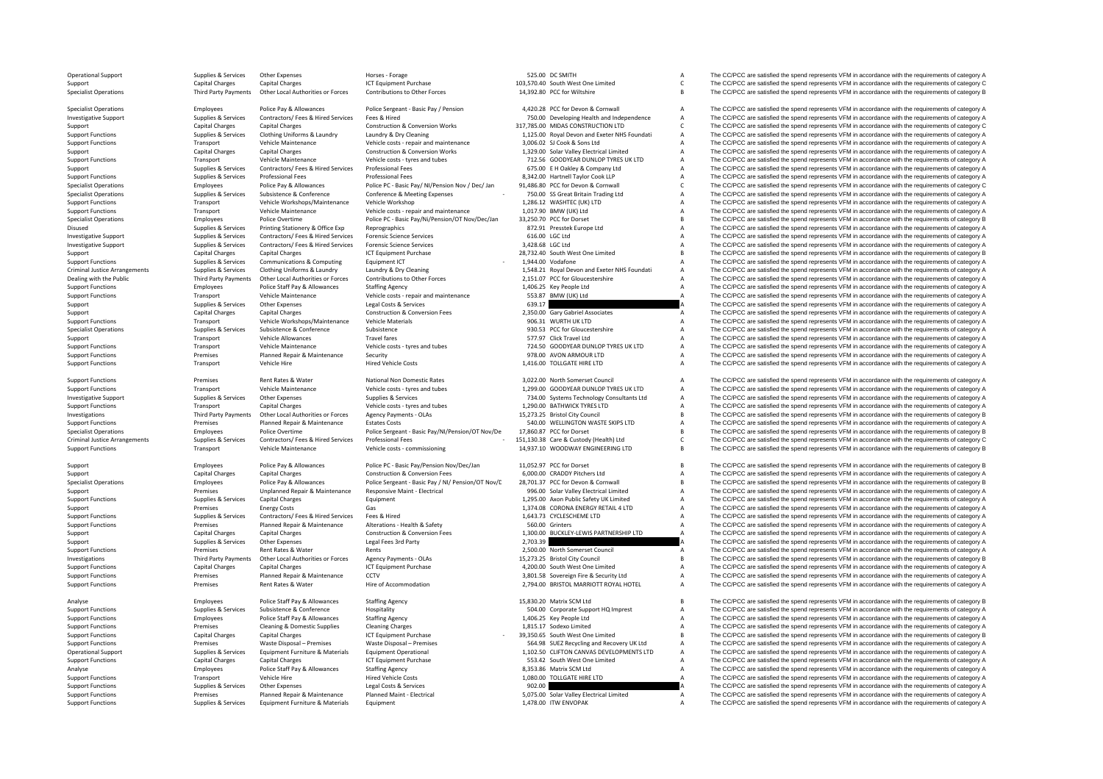|         | <b>Operational Support</b>           | Supplies & Services    | Other Expenses                     | Horses - Forage                                    | 525.00 DC SMITH                              | $\overline{A}$ | The CC/PCC are satisfied the spend represents VFM in accordance with the requirements of category A |
|---------|--------------------------------------|------------------------|------------------------------------|----------------------------------------------------|----------------------------------------------|----------------|-----------------------------------------------------------------------------------------------------|
| Support |                                      | Capital Charges        | <b>Capital Charges</b>             | <b>ICT Equipment Purchase</b>                      | 103,570.40 South West One Limited            | $\mathsf{C}$   | The CC/PCC are satisfied the spend represents VFM in accordance with the requirements of category C |
|         | <b>Specialist Operations</b>         | Third Party Payments   | Other Local Authorities or Forces  | Contributions to Other Forces                      | 14,392.80 PCC for Wiltshire                  | $\overline{B}$ | The CC/PCC are satisfied the spend represents VFM in accordance with the requirements of category B |
|         | <b>Specialist Operations</b>         | Employees              | Police Pay & Allowances            | Police Sergeant - Basic Pay / Pension              | 4,420.28 PCC for Devon & Cornwall            | $\overline{A}$ | The CC/PCC are satisfied the spend represents VFM in accordance with the requirements of category A |
|         | <b>Investigative Support</b>         | Supplies & Services    | Contractors/ Fees & Hired Services | Fees & Hired                                       | 750.00 Developing Health and Independence    | $\overline{A}$ | The CC/PCC are satisfied the spend represents VFM in accordance with the requirements of category A |
|         |                                      | <b>Capital Charges</b> |                                    | <b>Construction &amp; Conversion Works</b>         | 317,785.00 MIDAS CONSTRUCTION LTD            | $\mathsf{C}$   | The CC/PCC are satisfied the spend represents VFM in accordance with the requirements of category C |
| Support |                                      |                        | <b>Capital Charges</b>             |                                                    |                                              |                |                                                                                                     |
|         | <b>Support Functions</b>             | Supplies & Services    | Clothing Uniforms & Laundry        | Laundry & Dry Cleaning                             | 1,125.00 Royal Devon and Exeter NHS Foundati | $\overline{A}$ | The CC/PCC are satisfied the spend represents VFM in accordance with the requirements of category A |
|         | <b>Support Functions</b>             | Transport              | Vehicle Maintenance                | Vehicle costs - repair and maintenance             | 3,006.02 SJ Cook & Sons Ltd                  | $\overline{A}$ | The CC/PCC are satisfied the spend represents VFM in accordance with the requirements of category A |
| Support |                                      | <b>Capital Charges</b> | <b>Capital Charges</b>             | <b>Construction &amp; Conversion Works</b>         | 1,329.00 Solar Valley Electrical Limited     | $\mathsf A$    | The CC/PCC are satisfied the spend represents VFM in accordance with the requirements of category A |
|         | <b>Support Functions</b>             | Transport              | Vehicle Maintenance                | Vehicle costs - tyres and tubes                    | 712.56 GOODYEAR DUNLOP TYRES UK LTD          | $\mathsf A$    | The CC/PCC are satisfied the spend represents VFM in accordance with the requirements of category A |
| Support |                                      | Supplies & Services    | Contractors/ Fees & Hired Services | Professional Fees                                  | 675.00 E H Oakley & Company Ltd              | $\overline{A}$ | The CC/PCC are satisfied the spend represents VFM in accordance with the requirements of category A |
|         | <b>Support Functions</b>             | Supplies & Services    | Professional Fees                  | Professional Fees                                  | 8,342.00 Hartnell Taylor Cook LLP            | $\overline{A}$ | The CC/PCC are satisfied the spend represents VFM in accordance with the requirements of category A |
|         | <b>Specialist Operations</b>         | Employees              | Police Pay & Allowances            | Police PC - Basic Pay/ NI/Pension Nov / Dec/ Jan   | 91,486.80 PCC for Devon & Cornwall           | $\mathsf{C}$   | The CC/PCC are satisfied the spend represents VFM in accordance with the requirements of category C |
|         | <b>Specialist Operations</b>         | Supplies & Services    | Subsistence & Conference           | Conference & Meeting Expenses                      | 750.00 SS Great Britain Trading Ltd          | $\overline{A}$ | The CC/PCC are satisfied the spend represents VFM in accordance with the requirements of category A |
|         | <b>Support Functions</b>             | Transport              | Vehicle Workshops/Maintenance      | Vehicle Workshop                                   | 1,286.12 WASHTEC (UK) LTD                    | $\overline{A}$ | The CC/PCC are satisfied the spend represents VFM in accordance with the requirements of category A |
|         | <b>Support Functions</b>             | Transport              | Vehicle Maintenance                | Vehicle costs - repair and maintenance             | 1,017.90 BMW (UK) Ltd                        | $\overline{A}$ | The CC/PCC are satisfied the spend represents VFM in accordance with the requirements of category A |
|         | <b>Specialist Operations</b>         | Employees              | Police Overtime                    | Police PC - Basic Pay/Ni/Pension/OT Nov/Dec/Jan    | 33,250.70 PCC for Dorset                     | $\overline{B}$ | The CC/PCC are satisfied the spend represents VFM in accordance with the requirements of category B |
| Disused |                                      | Supplies & Services    | Printing Stationery & Office Exp   | Reprographics                                      | 872.91 Presstek Europe Ltd                   | $\overline{A}$ | The CC/PCC are satisfied the spend represents VFM in accordance with the requirements of category A |
|         | <b>Investigative Support</b>         | Supplies & Services    | Contractors/ Fees & Hired Services | <b>Forensic Science Services</b>                   | 616.00 LGC Ltd                               | $\overline{A}$ | The CC/PCC are satisfied the spend represents VFM in accordance with the requirements of category A |
|         | <b>Investigative Support</b>         | Supplies & Services    | Contractors/ Fees & Hired Services | <b>Forensic Science Services</b>                   | 3.428.68 LGC Ltd                             | $\overline{A}$ | The CC/PCC are satisfied the spend represents VFM in accordance with the requirements of category A |
| Support |                                      | <b>Capital Charges</b> | Capital Charges                    | ICT Equipment Purchase                             | 28,732.40 South West One Limited             | $\overline{B}$ | The CC/PCC are satisfied the spend represents VFM in accordance with the requirements of category B |
|         | <b>Support Functions</b>             | Supplies & Services    | Communications & Computing         | Equipment ICT                                      | 1.944.00 Vodafone                            | $\overline{A}$ | The CC/PCC are satisfied the spend represents VFM in accordance with the requirements of category A |
|         | <b>Criminal Justice Arrangements</b> | Supplies & Services    | Clothing Uniforms & Laundry        | Laundry & Dry Cleaning                             | 1,548.21 Royal Devon and Exeter NHS Foundati | $\overline{A}$ | The CC/PCC are satisfied the spend represents VFM in accordance with the requirements of category A |
|         | Dealing with the Public              | Third Party Payments   | Other Local Authorities or Forces  | Contributions to Other Forces                      | 2,151.07 PCC for Gloucestershire             | $\overline{A}$ | The CC/PCC are satisfied the spend represents VFM in accordance with the requirements of category A |
|         | <b>Support Functions</b>             | Employees              | Police Staff Pay & Allowances      | <b>Staffing Agency</b>                             | 1,406.25 Key People Ltd                      | $\overline{A}$ | The CC/PCC are satisfied the spend represents VFM in accordance with the requirements of category A |
|         |                                      | Transport              | Vehicle Maintenance                | Vehicle costs - repair and maintenance             | 553.87 BMW (UK) Ltd                          | $\overline{A}$ | The CC/PCC are satisfied the spend represents VFM in accordance with the requirements of category A |
|         | <b>Support Functions</b>             |                        |                                    |                                                    |                                              |                | The CC/PCC are satisfied the spend represents VFM in accordance with the requirements of category A |
| Support |                                      | Supplies & Services    | Other Expenses                     | Legal Costs & Services                             | 639.17                                       |                |                                                                                                     |
| Support |                                      | <b>Capital Charges</b> | <b>Capital Charges</b>             | <b>Construction &amp; Conversion Fees</b>          | 2,350.00 Gary Gabriel Associates             | А              | The CC/PCC are satisfied the spend represents VFM in accordance with the requirements of category A |
|         | <b>Support Functions</b>             | Transport              | Vehicle Workshops/Maintenance      | <b>Vehicle Materials</b>                           | 906.31 WURTH UK LTD                          | $\overline{A}$ | The CC/PCC are satisfied the spend represents VFM in accordance with the requirements of category A |
|         | <b>Specialist Operations</b>         | Supplies & Services    | Subsistence & Conference           | Subsistence                                        | 930.53 PCC for Gloucestershire               | $\overline{A}$ | The CC/PCC are satisfied the spend represents VFM in accordance with the requirements of category A |
| Support |                                      | Transport              | Vehicle Allowances                 | <b>Travel fares</b>                                | 577.97 Click Travel Ltd                      | $\overline{A}$ | The CC/PCC are satisfied the spend represents VFM in accordance with the requirements of category A |
|         | <b>Support Functions</b>             | Transport              | Vehicle Maintenance                | Vehicle costs - tyres and tubes                    | 724.50 GOODYEAR DUNLOP TYRES UK LTD          | $\overline{A}$ | The CC/PCC are satisfied the spend represents VFM in accordance with the requirements of category A |
|         | <b>Support Functions</b>             | Premises               | Planned Repair & Maintenance       | Security                                           | 978.00 AVON ARMOUR LTD                       | $\overline{A}$ | The CC/PCC are satisfied the spend represents VFM in accordance with the requirements of category A |
|         | <b>Support Functions</b>             | Transport              | Vehicle Hire                       | <b>Hired Vehicle Costs</b>                         | 1,416.00 TOLLGATE HIRE LTD                   | $\overline{A}$ | The CC/PCC are satisfied the spend represents VFM in accordance with the requirements of category A |
|         |                                      |                        |                                    |                                                    |                                              |                |                                                                                                     |
|         | <b>Support Functions</b>             | Premises               | Rent Rates & Water                 | National Non Domestic Rates                        | 3,022.00 North Somerset Council              | $\overline{A}$ | The CC/PCC are satisfied the spend represents VFM in accordance with the requirements of category A |
|         | <b>Support Functions</b>             | Transport              | Vehicle Maintenance                | Vehicle costs - tyres and tubes                    | 1,299.00 GOODYEAR DUNLOP TYRES UK LTD        | $\overline{A}$ | The CC/PCC are satisfied the spend represents VFM in accordance with the requirements of category A |
|         | <b>Investigative Support</b>         | Supplies & Services    | Other Expenses                     | Supplies & Services                                | 734.00 Systems Technology Consultants Ltd    | $\overline{A}$ | The CC/PCC are satisfied the spend represents VFM in accordance with the requirements of category A |
|         | <b>Support Functions</b>             | Transport              | <b>Capital Charges</b>             | Vehicle costs - tyres and tubes                    | 1,290.00 BATHWICK TYRES LTD                  | $\overline{A}$ | The CC/PCC are satisfied the spend represents VFM in accordance with the requirements of category A |
|         | Investigations                       | Third Party Payments   | Other Local Authorities or Forces  | Agency Payments - OLAs                             | 15,273.25 Bristol City Council               | $\overline{B}$ | The CC/PCC are satisfied the spend represents VFM in accordance with the requirements of category B |
|         | <b>Support Functions</b>             | Premises               | Planned Repair & Maintenance       | <b>Estates Costs</b>                               | 540.00 WELLINGTON WASTE SKIPS LTD            | $\overline{A}$ | The CC/PCC are satisfied the spend represents VFM in accordance with the requirements of category A |
|         | <b>Specialist Operations</b>         | Employees              | Police Overtime                    | Police Sergeant - Basic Pay/NI/Pension/OT Nov/De   | 17,860.87 PCC for Dorset                     | $\overline{B}$ | The CC/PCC are satisfied the spend represents VFM in accordance with the requirements of category B |
|         | <b>Criminal Justice Arrangements</b> | Supplies & Services    | Contractors/ Fees & Hired Services | Professional Fees                                  | 151,130.38 Care & Custody (Health) Ltd       | $\mathsf{C}$   | The CC/PCC are satisfied the spend represents VFM in accordance with the requirements of category C |
|         | <b>Support Functions</b>             | Transport              | Vehicle Maintenance                | Vehicle costs - commissioning                      | 14,937.10 WOODWAY ENGINEERING LTD            | $\overline{B}$ | The CC/PCC are satisfied the spend represents VFM in accordance with the requirements of category B |
|         |                                      |                        |                                    |                                                    |                                              |                |                                                                                                     |
| Support |                                      | Employees              | Police Pay & Allowances            | Police PC - Basic Pay/Pension Nov/Dec/Jan          | 11,052.97 PCC for Dorset                     | B              | The CC/PCC are satisfied the spend represents VFM in accordance with the requirements of category B |
| Support |                                      | <b>Capital Charges</b> | Capital Charges                    | <b>Construction &amp; Conversion Fees</b>          | 6,000.00 CRADDY Pitchers Ltd                 | $\overline{A}$ | The CC/PCC are satisfied the spend represents VFM in accordance with the requirements of category A |
|         | <b>Specialist Operations</b>         | Employees              | Police Pay & Allowances            | Police Sergeant - Basic Pay / NI/ Pension/OT Nov/C | 28,701.37 PCC for Devon & Cornwall           | $\overline{B}$ | The CC/PCC are satisfied the spend represents VFM in accordance with the requirements of category B |
| Support |                                      | Premises               | Unplanned Repair & Maintenance     | Responsive Maint - Electrical                      | 996.00 Solar Valley Electrical Limited       | $\overline{A}$ | The CC/PCC are satisfied the spend represents VFM in accordance with the requirements of category A |
|         | <b>Support Functions</b>             | Supplies & Services    | <b>Capital Charges</b>             | Equipment                                          | 1,295.00 Axon Public Safety UK Limited       | $\overline{A}$ | The CC/PCC are satisfied the spend represents VFM in accordance with the requirements of category A |
| Support |                                      | Premises               | <b>Energy Costs</b>                | Gas                                                | 1,374.08 CORONA ENERGY RETAIL 4 LTD          | $\overline{A}$ | The CC/PCC are satisfied the spend represents VFM in accordance with the requirements of category A |
|         | <b>Support Functions</b>             | Supplies & Services    | Contractors/ Fees & Hired Services | Fees & Hired                                       | 1,643.73 CYCLESCHEME LTD                     | $\overline{A}$ | The CC/PCC are satisfied the spend represents VFM in accordance with the requirements of category A |
|         | <b>Support Functions</b>             | Premises               | Planned Repair & Maintenance       | Alterations - Health & Safety                      | 560.00 Grinters                              | $\overline{A}$ | The CC/PCC are satisfied the spend represents VFM in accordance with the requirements of category A |
| Support |                                      | <b>Capital Charges</b> | <b>Capital Charges</b>             | Construction & Conversion Fees                     | 1,300.00 BUCKLEY-LEWIS PARTNERSHIP LTD       | $\overline{A}$ | The CC/PCC are satisfied the spend represents VFM in accordance with the requirements of category A |
| Support |                                      | Supplies & Services    | Other Expenses                     | Legal Fees 3rd Party                               | 2,703.39                                     |                | The CC/PCC are satisfied the spend represents VFM in accordance with the requirements of category A |
|         | <b>Support Functions</b>             | Premises               | Rent Rates & Water                 | Rents                                              | 2,500.00 North Somerset Council              | А              | The CC/PCC are satisfied the spend represents VFM in accordance with the requirements of category A |
|         | Investigations                       | Third Party Payments   | Other Local Authorities or Forces  | Agency Payments - OLAs                             | 15,273.25 Bristol City Council               | $\overline{R}$ | The CC/PCC are satisfied the spend represents VFM in accordance with the requirements of category B |
|         | <b>Support Functions</b>             | <b>Capital Charges</b> | <b>Capital Charges</b>             | ICT Equipment Purchase                             | 4.200.00 South West One Limited              | $\overline{A}$ | The CC/PCC are satisfied the spend represents VFM in accordance with the requirements of category A |
|         | <b>Support Functions</b>             | Premises               | Planned Repair & Maintenance       | CCTV                                               | 3,801.58 Sovereign Fire & Security Ltd       | $\overline{A}$ | The CC/PCC are satisfied the spend represents VFM in accordance with the requirements of category A |
|         | <b>Support Functions</b>             | Premises               | Rent Rates & Water                 | Hire of Accommodation                              | 2,794.00 BRISTOL MARRIOTT ROYAL HOTEL        | $\overline{A}$ | The CC/PCC are satisfied the spend represents VFM in accordance with the requirements of category A |
|         |                                      |                        |                                    |                                                    |                                              |                |                                                                                                     |
| Analyse |                                      | Employees              | Police Staff Pay & Allowances      | <b>Staffing Agency</b>                             | 15,830.20 Matrix SCM Ltd                     | $\overline{B}$ | The CC/PCC are satisfied the spend represents VFM in accordance with the requirements of category B |
|         | <b>Support Functions</b>             | Supplies & Services    | Subsistence & Conference           | Hospitality                                        | 504.00 Corporate Support HQ Imprest          | $\overline{A}$ | The CC/PCC are satisfied the spend represents VFM in accordance with the requirements of category A |
|         | <b>Support Functions</b>             | Employees              | Police Staff Pay & Allowances      | <b>Staffing Agency</b>                             | 1,406.25 Key People Ltd                      | $\overline{A}$ | The CC/PCC are satisfied the spend represents VFM in accordance with the requirements of category A |
|         | <b>Support Functions</b>             | Premises               | Cleaning & Domestic Supplies       | <b>Cleaning Charges</b>                            | 1,815.17 Sodexo Limited                      | $\overline{A}$ | The CC/PCC are satisfied the spend represents VFM in accordance with the requirements of category A |
|         | <b>Support Functions</b>             | <b>Capital Charges</b> | <b>Capital Charges</b>             | <b>ICT Equipment Purchase</b>                      | 39.350.65 South West One Limited             | $\overline{B}$ | The CC/PCC are satisfied the spend represents VFM in accordance with the requirements of category B |
|         | <b>Support Functions</b>             | Premises               | Waste Disposal - Premises          | Waste Disposal - Premises                          | 564.98 SUEZ Recycling and Recovery UK Ltd    | $\mathsf A$    | The CC/PCC are satisfied the spend represents VFM in accordance with the requirements of category A |
|         | <b>Operational Support</b>           | Supplies & Services    | Equipment Furniture & Materials    | <b>Equipment Operational</b>                       | 1,102.50 CLIFTON CANVAS DEVELOPMENTS LTD     | $\overline{A}$ | The CC/PCC are satisfied the spend represents VFM in accordance with the requirements of category A |
|         | <b>Support Functions</b>             | <b>Capital Charges</b> | <b>Capital Charges</b>             | <b>ICT Equipment Purchase</b>                      | 553.42 South West One Limited                | $\overline{A}$ | The CC/PCC are satisfied the spend represents VFM in accordance with the requirements of category A |
|         |                                      |                        |                                    |                                                    |                                              |                |                                                                                                     |
| Analyse |                                      | Employees              | Police Staff Pay & Allowances      | <b>Staffing Agency</b>                             | 8,353.86 Matrix SCM Ltd                      | $\overline{A}$ | The CC/PCC are satisfied the spend represents VFM in accordance with the requirements of category A |
|         | <b>Support Functions</b>             | Transport              | Vehicle Hire                       | <b>Hired Vehicle Costs</b>                         | 1,080.00 TOLLGATE HIRE LTD                   |                | The CC/PCC are satisfied the spend represents VFM in accordance with the requirements of category A |
|         | <b>Support Functions</b>             | Supplies & Services    | Other Expenses                     | Legal Costs & Services                             | 902.00                                       |                | The CC/PCC are satisfied the spend represents VFM in accordance with the requirements of category A |
|         | <b>Support Functions</b>             | Premises               | Planned Repair & Maintenance       | Planned Maint - Electrical                         | 5,075.00 Solar Valley Electrical Limited     | $\overline{A}$ | The CC/PCC are satisfied the spend represents VFM in accordance with the requirements of category A |
|         | <b>Support Functions</b>             | Supplies & Services    | Equipment Furniture & Materials    | Equipment                                          | 1,478.00 ITW ENVOPAK                         | $\overline{A}$ | The CC/PCC are satisfied the spend represents VFM in accordance with the requirements of category A |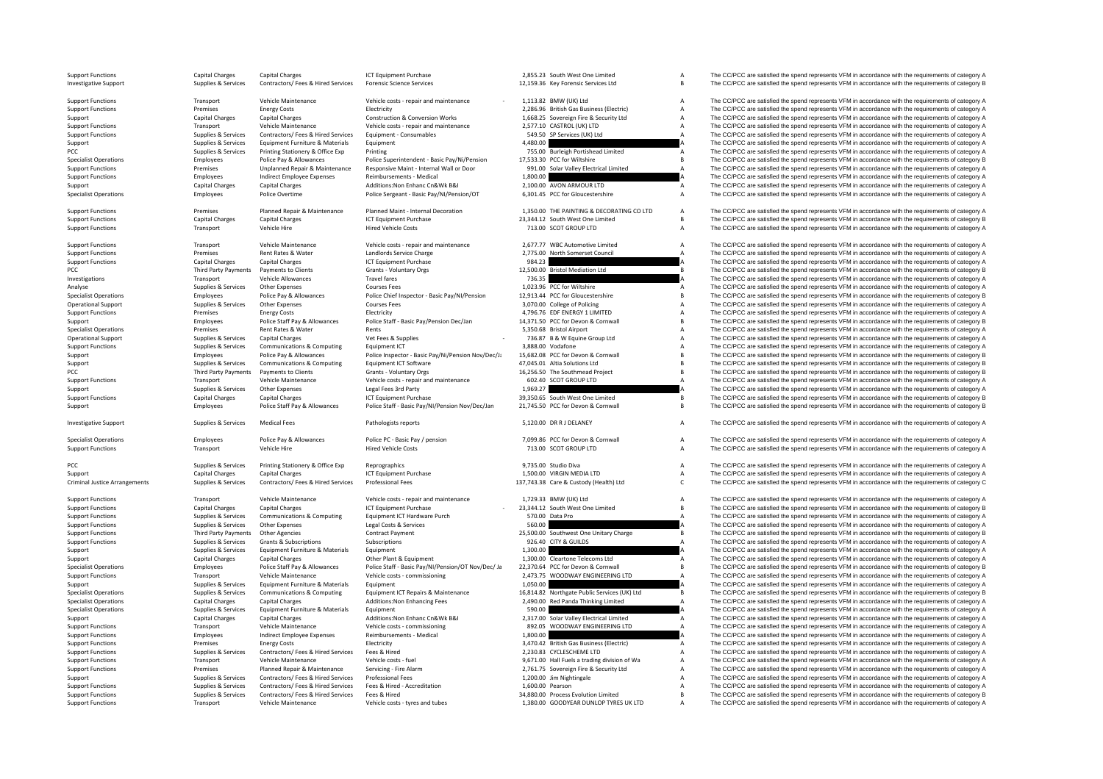|     | <b>Support Functions</b><br><b>Investigative Support</b> | Capital Charges<br>Supplies & Services | <b>Capital Charges</b><br>Contractors/ Fees & Hired Services | <b>ICT Equipment Purchase</b><br><b>Forensic Science Services</b> | 2,855.23 South West One Limited<br>12,159.36 Key Forensic Services Ltd | $\overline{A}$<br>В | The CC/PCC are satisfied the spend represents VFM in accordance with the requirements of category A<br>The CC/PCC are satisfied the spend represents VFM in accordance with the requirements of category B |
|-----|----------------------------------------------------------|----------------------------------------|--------------------------------------------------------------|-------------------------------------------------------------------|------------------------------------------------------------------------|---------------------|------------------------------------------------------------------------------------------------------------------------------------------------------------------------------------------------------------|
|     | <b>Support Functions</b>                                 | Transport                              | Vehicle Maintenance                                          | Vehicle costs - repair and maintenance                            | 1,113.82 BMW (UK) Ltd                                                  | A                   | The CC/PCC are satisfied the spend represents VFM in accordance with the requirements of category A                                                                                                        |
|     | <b>Support Functions</b>                                 | Premises                               | <b>Energy Costs</b>                                          | Electricity                                                       | 2,286.96 British Gas Business (Electric)                               | А                   | The CC/PCC are satisfied the spend represents VFM in accordance with the requirements of category A                                                                                                        |
|     | Support                                                  | <b>Capital Charges</b>                 | <b>Capital Charges</b>                                       | Construction & Conversion Works                                   | 1,668.25 Sovereign Fire & Security Ltd                                 | А                   | The CC/PCC are satisfied the spend represents VFM in accordance with the requirements of category A                                                                                                        |
|     | <b>Support Functions</b>                                 | Transport                              | Vehicle Maintenance                                          | Vehicle costs - repair and maintenance                            | 2,577.10 CASTROL (UK) LTD                                              | А                   | The CC/PCC are satisfied the spend represents VFM in accordance with the requirements of category A                                                                                                        |
|     | <b>Support Functions</b>                                 | Supplies & Services                    | Contractors/ Fees & Hired Services                           | Equipment - Consumables                                           | 549.50 SP Services (UK) Ltd                                            | $\overline{A}$      | The CC/PCC are satisfied the spend represents VFM in accordance with the requirements of category A                                                                                                        |
|     | Support                                                  | Supplies & Services                    | Equipment Furniture & Materials                              | Equipment                                                         | 4,480.00                                                               |                     | The CC/PCC are satisfied the spend represents VFM in accordance with the requirements of category A                                                                                                        |
| PCC |                                                          | Supplies & Services                    | Printing Stationery & Office Exp                             | Printing                                                          | 755.00 Burleigh Portishead Limited                                     | А                   | The CC/PCC are satisfied the spend represents VFM in accordance with the requirements of category A                                                                                                        |
|     | <b>Specialist Operations</b>                             | Employees                              | Police Pay & Allowances                                      | Police Superintendent - Basic Pay/Ni/Pension                      | 17.533.30 PCC for Wiltshire                                            | B                   | The CC/PCC are satisfied the spend represents VFM in accordance with the requirements of category B                                                                                                        |
|     | <b>Support Functions</b>                                 | Premises                               | Unplanned Repair & Maintenance                               | Responsive Maint - Internal Wall or Door                          | 991.00 Solar Valley Electrical Limited                                 | Δ                   | The CC/PCC are satisfied the spend represents VFM in accordance with the requirements of category A                                                                                                        |
|     | <b>Support Functions</b>                                 | Employees                              | Indirect Employee Expenses                                   | Reimbursements - Medical                                          | 1.800.00                                                               |                     | The CC/PCC are satisfied the spend represents VFM in accordance with the requirements of category A                                                                                                        |
|     | Support                                                  | Capital Charges                        | <b>Capital Charges</b>                                       | Additions: Non Enhanc Cn&Wk B&I                                   | 2,100.00 AVON ARMOUR LTD                                               | A                   | The CC/PCC are satisfied the spend represents VFM in accordance with the requirements of category A                                                                                                        |
|     | <b>Specialist Operations</b>                             | Employees                              | Police Overtime                                              | Police Sergeant - Basic Pay/NI/Pension/OT                         | 6,301.45 PCC for Gloucestershire                                       | А                   | The CC/PCC are satisfied the spend represents VFM in accordance with the requirements of category A                                                                                                        |
|     | <b>Support Functions</b>                                 | Premises                               | Planned Repair & Maintenance                                 | Planned Maint - Internal Decoration                               | 1.350.00 THE PAINTING & DECORATING CO LTD                              | $\mathsf A$         | The CC/PCC are satisfied the spend represents VFM in accordance with the requirements of category A                                                                                                        |
|     | <b>Support Functions</b>                                 | <b>Capital Charges</b>                 | <b>Capital Charges</b>                                       | <b>ICT Equipment Purchase</b>                                     | 23,344.12 South West One Limited                                       | B                   | The CC/PCC are satisfied the spend represents VFM in accordance with the requirements of category B                                                                                                        |
|     | <b>Support Functions</b>                                 | Transport                              | Vehicle Hire                                                 | <b>Hired Vehicle Costs</b>                                        | 713.00 SCOT GROUP LTD                                                  | $\overline{A}$      | The CC/PCC are satisfied the spend represents VFM in accordance with the requirements of category A                                                                                                        |
|     | <b>Support Functions</b>                                 | Transport                              | Vehicle Maintenance                                          | Vehicle costs - repair and maintenance                            | 2,677.77 WBC Automotive Limited                                        | A                   | The CC/PCC are satisfied the spend represents VFM in accordance with the requirements of category A                                                                                                        |
|     | <b>Support Functions</b>                                 | Premises                               | <b>Rent Rates &amp; Water</b>                                | Landlords Service Charge                                          | 2.775.00 North Somerset Council                                        | $\Delta$            | The CC/PCC are satisfied the spend represents VFM in accordance with the requirements of category A                                                                                                        |
|     | <b>Support Functions</b>                                 | Capital Charges                        | <b>Capital Charges</b>                                       | <b>ICT Equipment Purchase</b>                                     | 984.23                                                                 |                     | The CC/PCC are satisfied the spend represents VFM in accordance with the requirements of category A                                                                                                        |
| PCC |                                                          | <b>Third Party Payments</b>            | Payments to Clients                                          | Grants - Voluntary Orgs                                           | 12,500.00 Bristol Mediation Ltd                                        | $\overline{B}$      | The CC/PCC are satisfied the spend represents VFM in accordance with the requirements of category B                                                                                                        |
|     | Investigations                                           | Transport                              | Vehicle Allowances                                           | <b>Travel fares</b>                                               | 736.35                                                                 |                     | The CC/PCC are satisfied the spend represents VFM in accordance with the requirements of category A                                                                                                        |
|     | Analyse                                                  | Supplies & Services                    | Other Expenses                                               | <b>Courses Fees</b>                                               | 1,023.96 PCC for Wiltshire                                             | A                   | The CC/PCC are satisfied the spend represents VFM in accordance with the requirements of category A                                                                                                        |
|     | <b>Specialist Operations</b>                             | Employees                              | Police Pay & Allowances                                      | Police Chief Inspector - Basic Pay/NI/Pension                     | 12,913.44 PCC for Gloucestershire                                      | B                   | The CC/PCC are satisfied the spend represents VFM in accordance with the requirements of category B                                                                                                        |
|     | <b>Operational Support</b>                               | Supplies & Services                    | Other Expenses                                               | <b>Courses Fees</b>                                               | 3,070.00 College of Policing                                           | A                   | The CC/PCC are satisfied the spend represents VFM in accordance with the requirements of category A                                                                                                        |
|     | <b>Support Functions</b>                                 | Premises                               | <b>Energy Costs</b>                                          | Electricity                                                       | 4,796.76 EDF ENERGY 1 LIMITED                                          | A                   | The CC/PCC are satisfied the spend represents VFM in accordance with the requirements of category A                                                                                                        |
|     | Support                                                  | Employees                              | Police Staff Pay & Allowances                                | Police Staff - Basic Pay/Pension Dec/Jan                          | 14,371.50 PCC for Devon & Cornwall                                     | R                   | The CC/PCC are satisfied the spend represents VFM in accordance with the requirements of category B                                                                                                        |
|     | <b>Specialist Operations</b>                             | Premises                               | Rent Rates & Water                                           | Rents                                                             | 5,350.68 Bristol Airport                                               | А                   | The CC/PCC are satisfied the spend represents VFM in accordance with the requirements of category A                                                                                                        |
|     | <b>Operational Support</b>                               | Supplies & Services                    | <b>Capital Charges</b>                                       | Vet Fees & Supplies                                               | 736.87 B & W Equine Group Ltd                                          | A                   | The CC/PCC are satisfied the spend represents VFM in accordance with the requirements of category A                                                                                                        |
|     | <b>Support Functions</b>                                 | Supplies & Services                    | Communications & Computing                                   | Equipment ICT                                                     | 3,888.00 Vodafone                                                      | A                   | The CC/PCC are satisfied the spend represents VFM in accordance with the requirements of category A                                                                                                        |
|     | Support                                                  | Employees                              | Police Pay & Allowances                                      | Police Inspector - Basic Pay/Ni/Pension Nov/Dec/Ja                | 15,682.08 PCC for Devon & Cornwall                                     | B                   | The CC/PCC are satisfied the spend represents VFM in accordance with the requirements of category B                                                                                                        |
|     | Support                                                  | Supplies & Services                    | Communications & Computing                                   | Equipment ICT Software                                            | 47,045.01 Altia Solutions Ltd                                          | R                   | The CC/PCC are satisfied the spend represents VFM in accordance with the requirements of category B                                                                                                        |
| PCC |                                                          | <b>Third Party Payments</b>            | Payments to Clients                                          | Grants - Voluntary Orgs                                           | 16,256.50 The Southmead Project                                        | $\overline{B}$      | The CC/PCC are satisfied the spend represents VFM in accordance with the requirements of category B                                                                                                        |
|     | <b>Support Functions</b>                                 | Transport                              | Vehicle Maintenance                                          | Vehicle costs - repair and maintenance                            | 602.40 SCOT GROUP LTD                                                  | $\overline{A}$      | The CC/PCC are satisfied the spend represents VFM in accordance with the requirements of category A                                                                                                        |
|     | Support                                                  | Supplies & Services                    | Other Expenses                                               | Legal Fees 3rd Party                                              | 1,969.27                                                               |                     | The CC/PCC are satisfied the spend represents VFM in accordance with the requirements of category A                                                                                                        |
|     | <b>Support Functions</b>                                 | <b>Capital Charges</b>                 | <b>Capital Charges</b>                                       | <b>ICT Equipment Purchase</b>                                     | 39,350.65 South West One Limited                                       | B                   | The CC/PCC are satisfied the spend represents VFM in accordance with the requirements of category B                                                                                                        |
|     | Support                                                  | Employees                              | Police Staff Pay & Allowances                                | Police Staff - Basic Pay/NI/Pension Nov/Dec/Jan                   | 21,745.50 PCC for Devon & Cornwall                                     | B                   | The CC/PCC are satisfied the spend represents VFM in accordance with the requirements of category B                                                                                                        |
|     | <b>Investigative Support</b>                             | Supplies & Services                    | <b>Medical Fees</b>                                          | Pathologists reports                                              | 5,120.00 DR R J DELANEY                                                | A                   | The CC/PCC are satisfied the spend represents VFM in accordance with the requirements of category A                                                                                                        |
|     | <b>Specialist Operations</b>                             | Employees                              | Police Pay & Allowances                                      | Police PC - Basic Pay / pension                                   | 7,099.86 PCC for Devon & Cornwall                                      | A                   | The CC/PCC are satisfied the spend represents VFM in accordance with the requirements of category A                                                                                                        |
|     | <b>Support Functions</b>                                 | Transport                              | Vehicle Hire                                                 | <b>Hired Vehicle Costs</b>                                        | 713.00 SCOT GROUP LTD                                                  | А                   | The CC/PCC are satisfied the spend represents VFM in accordance with the requirements of category A                                                                                                        |
| PCC |                                                          | Supplies & Services                    | Printing Stationery & Office Exp                             | Reprographics                                                     | 9,735.00 Studio Diva                                                   | A                   | The CC/PCC are satisfied the spend represents VFM in accordance with the requirements of category A                                                                                                        |
|     | Support                                                  | Capital Charges                        | Capital Charges                                              | <b>ICT Equipment Purchase</b>                                     | 1,500.00 VIRGIN MEDIA LTD                                              | A                   | The CC/PCC are satisfied the spend represents VFM in accordance with the requirements of category A                                                                                                        |
|     | <b>Criminal Justice Arrangements</b>                     | Supplies & Services                    | Contractors/ Fees & Hired Services                           | <b>Professional Fees</b>                                          | 137,743.38 Care & Custody (Health) Ltd                                 | $\mathsf{C}$        | The CC/PCC are satisfied the spend represents VFM in accordance with the requirements of category C                                                                                                        |
|     | <b>Support Functions</b>                                 | Transport                              | Vehicle Maintenance                                          | Vehicle costs - repair and maintenance                            | 1,729.33 BMW (UK) Ltd                                                  | A                   | The CC/PCC are satisfied the spend represents VFM in accordance with the requirements of category A                                                                                                        |
|     | <b>Support Functions</b>                                 | Capital Charges                        | <b>Capital Charges</b>                                       | <b>ICT Equipment Purchase</b>                                     | 23,344.12 South West One Limited                                       | $\mathsf{B}$        | The CC/PCC are satisfied the spend represents VFM in accordance with the requirements of category B                                                                                                        |
|     | <b>Support Functions</b>                                 | Supplies & Services                    | Communications & Computing                                   | Equipment ICT Hardware Purch                                      | 570.00 Data Pro                                                        | $\overline{A}$      | The CC/PCC are satisfied the spend represents VFM in accordance with the requirements of category A                                                                                                        |
|     | <b>Support Functions</b>                                 | Supplies & Services                    | Other Expenses                                               | Legal Costs & Services                                            | 560.00                                                                 |                     | The CC/PCC are satisfied the spend represents VFM in accordance with the requirements of category A                                                                                                        |
|     | <b>Support Functions</b>                                 | Third Party Payments                   | <b>Other Agencies</b>                                        | Contract Payment                                                  | 25,500.00 Southwest One Unitary Charge                                 | B                   | The CC/PCC are satisfied the spend represents VFM in accordance with the requirements of category B                                                                                                        |
|     | <b>Support Functions</b>                                 | Supplies & Services                    | <b>Grants &amp; Subscriptions</b>                            | Subscriptions                                                     | 926.40 CITY & GUILDS                                                   | $\overline{A}$      | The CC/PCC are satisfied the spend represents VFM in accordance with the requirements of category A                                                                                                        |
|     | Support                                                  | Supplies & Services                    | Equipment Furniture & Materials                              | Equipment                                                         | 1.300.00                                                               |                     | The CC/PCC are satisfied the spend represents VFM in accordance with the requirements of category A                                                                                                        |
|     | Support                                                  | Capital Charges                        | Capital Charges                                              | Other Plant & Equipment                                           | 1,300.00 Cleartone Telecoms Ltd                                        | A                   | The CC/PCC are satisfied the spend represents VFM in accordance with the requirements of category A                                                                                                        |
|     | <b>Specialist Operations</b>                             | Employees                              | Police Staff Pay & Allowances                                | Police Staff - Basic Pay/NI/Pension/OT Nov/Dec/ Ja                | 22,370.64 PCC for Devon & Cornwall                                     | $\overline{B}$      | The CC/PCC are satisfied the spend represents VFM in accordance with the requirements of category B                                                                                                        |
|     | <b>Support Functions</b>                                 | Transport                              | Vehicle Maintenance                                          | Vehicle costs - commissioning                                     | 2,473.75 WOODWAY ENGINEERING LTD                                       | $\Delta$            | The CC/PCC are satisfied the spend represents VFM in accordance with the requirements of category A                                                                                                        |
|     | Support                                                  | Supplies & Services                    | Equipment Furniture & Materials                              | Equipment                                                         | 1,050.00                                                               |                     | The CC/PCC are satisfied the spend represents VFM in accordance with the requirements of category A                                                                                                        |
|     | <b>Specialist Operations</b>                             | Supplies & Services                    | Communications & Computing                                   | Equipment ICT Repairs & Maintenance                               | 16,814.82 Northgate Public Services (UK) Ltd                           | <sub>R</sub>        | The CC/PCC are satisfied the spend represents VFM in accordance with the requirements of category B                                                                                                        |
|     | <b>Specialist Operations</b>                             | <b>Capital Charges</b>                 | <b>Capital Charges</b>                                       | Additions: Non Enhancing Fees                                     | 2,490.00 Red Panda Thinking Limited                                    | $\overline{A}$      | The CC/PCC are satisfied the spend represents VFM in accordance with the requirements of category A                                                                                                        |
|     | <b>Specialist Operations</b>                             | Supplies & Services                    | Equipment Furniture & Materials                              | Equipment                                                         | 590.00                                                                 |                     | The CC/PCC are satisfied the spend represents VFM in accordance with the requirements of category A                                                                                                        |
|     | Support                                                  | Capital Charges                        | Capital Charges                                              | Additions: Non Enhanc Cn&Wk B&I                                   | 2,317.00 Solar Valley Electrical Limited                               | $\Delta$            | The CC/PCC are satisfied the spend represents VFM in accordance with the requirements of category A                                                                                                        |
|     | <b>Support Functions</b>                                 | Transport                              | Vehicle Maintenance                                          | Vehicle costs - commissioning                                     | 892.05 WOODWAY ENGINEERING LTD                                         | $\overline{A}$      | The CC/PCC are satisfied the spend represents VFM in accordance with the requirements of category A                                                                                                        |
|     | <b>Support Functions</b>                                 | Employees                              | <b>Indirect Employee Expenses</b>                            | Reimbursements - Medical                                          | 1.800.00                                                               |                     | The CC/PCC are satisfied the spend represents VFM in accordance with the requirements of category A                                                                                                        |
|     | <b>Support Functions</b>                                 | Premises                               | <b>Energy Costs</b>                                          | Electricity                                                       | 3,470.42 British Gas Business (Electric)                               | A                   | The CC/PCC are satisfied the spend represents VFM in accordance with the requirements of category A                                                                                                        |
|     | <b>Support Functions</b>                                 | Supplies & Services                    | Contractors/ Fees & Hired Services                           | Fees & Hired                                                      | 2,230.83 CYCLESCHEME LTD                                               | $\overline{A}$      | The CC/PCC are satisfied the spend represents VFM in accordance with the requirements of category A                                                                                                        |
|     | <b>Support Functions</b>                                 | Transport                              | Vehicle Maintenance                                          | Vehicle costs - fuel                                              | 9,671.00 Hall Fuels a trading division of Wa                           | $\overline{A}$      | The CC/PCC are satisfied the spend represents VFM in accordance with the requirements of category A                                                                                                        |
|     | <b>Support Functions</b>                                 | Premises                               | Planned Repair & Maintenance                                 | Servicing - Fire Alarm                                            | 2,761.75 Sovereign Fire & Security Ltd                                 | A                   | The CC/PCC are satisfied the spend represents VFM in accordance with the requirements of category A                                                                                                        |
|     | Support                                                  | Supplies & Services                    | Contractors/ Fees & Hired Services                           | Professional Fees                                                 | 1,200.00 Jim Nightingale                                               | A                   | The CC/PCC are satisfied the spend represents VFM in accordance with the requirements of category A                                                                                                        |
|     | <b>Support Functions</b>                                 | Supplies & Services                    | Contractors/ Fees & Hired Services                           | Fees & Hired - Accreditation                                      | 1.600.00 Pearson                                                       | A                   | The CC/PCC are satisfied the spend represents VFM in accordance with the requirements of category A                                                                                                        |
|     | <b>Support Functions</b>                                 | Supplies & Services                    | Contractors/ Fees & Hired Services                           | Fees & Hired                                                      | 34,880.00 Process Evolution Limited                                    | B                   | The CC/PCC are satisfied the spend represents VFM in accordance with the requirements of category B                                                                                                        |
|     | <b>Support Functions</b>                                 | Transport                              | Vehicle Maintenance                                          | Vehicle costs - tyres and tubes                                   | 1.380.00 GOODYFAR DUNLOP TYRES UK LTD                                  |                     | The CC/PCC are satisfied the spend represents VFM in accordance with the requirements of category A                                                                                                        |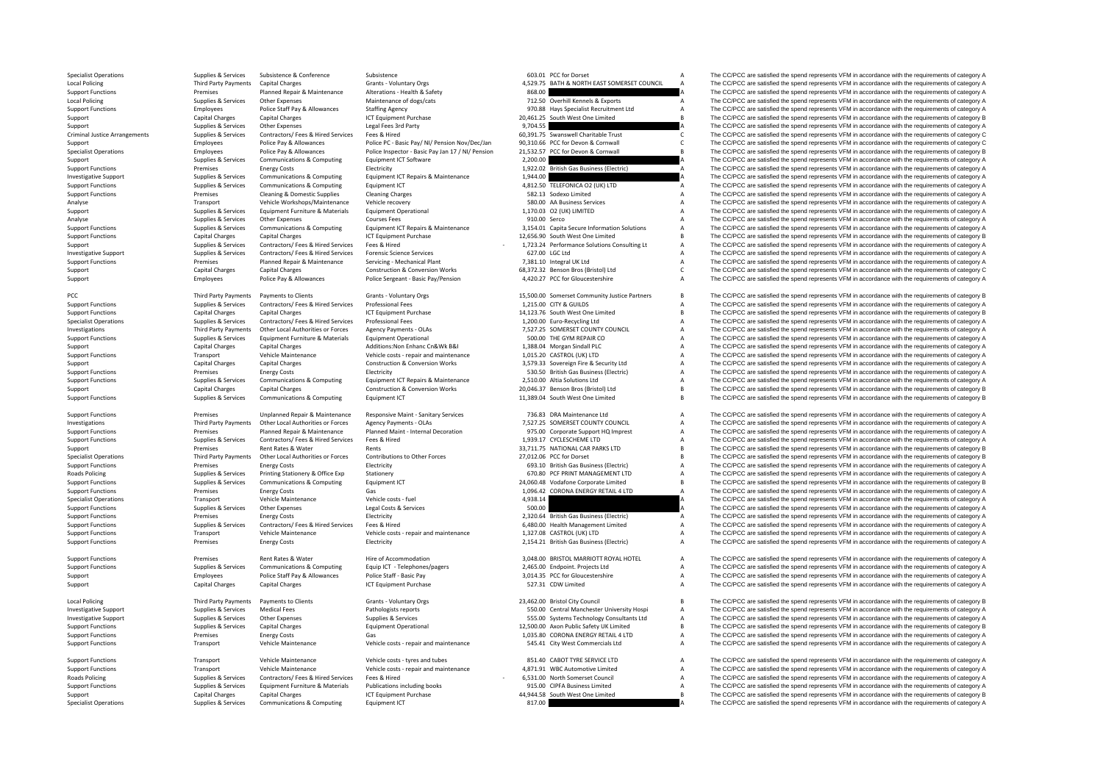**Local Policing Local Policing** Criminal JusticePCC Third Party Payments

**Roads Policing** 

**Local Policing** 

**Roads Policing** 

Specialist Operations Supplies & Subsistence Subsistence Subsistence Subsistence Subsistence Subsistence Subsistence Subsistence Subsistence Subsistence Subsistence a Subsistence of Category A The CC/PCC are satisfied the Third Party Payments Capital Charges Grants • Voluntary Orgs 4529.75 BATH & NORTH EAST SOMERSET COUNCIL A The CC/PCC are satisfied the spend represents VFM in accordance with the requirements of category A<br>Premises Plann Support Functions Premises Planned Repair & Maintenance Alterations - Health & Safety a A The CC/PCC are satisfied the spend represents VFM in accordance with the requirements of category A Corachill Corachill Corachill Co Local Policing The CC/PCC are satisfied the spend represents VFM in accordance with the requirements of category A The CC/PCC are satisfied the spend represents VFM in accordance with the requirements of category A Support Employees Police Staff Pay & Allowances Staffing Agency Stations Agency 1970.88 Hays Specialist Recruitment Ltd A The CC/PCC are satisfied the spend represents VFM in accordance with the requirements of category A Capital Support Capital Charges Capital Charges ICT Equipment Purchase 20,461.25 South West One Limited B The CC/PCC are satisfied the spend represents VFM in accordance with the requirements of category B Supplies & Services Other Expenses Legal Fees 3rd Party 9,704.55 A The CC/PCC are satisfied the spend represents VFM in accordance with the requirements of category A The CC/PCC are satisfied the spend represents VFM in ac Arrangements Supplies Supplies Trust Contractors Contractors Contractors Contractors Fees attestied the spend represents VFM in accordance with the requirements of category C The CC/PCC are satisfied the spend represents V Support The CC/PCC are satisfied the spend represents VFM in accordance with the requirements of category C and the enginements of category C and the engine Police Pay & Allowances Police Pay & Allowances Police Pay & Allo Specialist Operations The CC/PCC are against the requirements of category B Police Pay & Allowances Police Pay & Allowances Police Pay & Allowances Police Inspector - Basic Pay an 17 / NI/ Pension 21.532.57 PCC for Devon & Support Supplies & Services Communications & Computing Equipment ICT Seftware 2,200.00 2,200.00 A The CC/PCC are satisfied the concept NFM in accordance with the requirements of category A Support Functions The COPCC are satisfied the spend represents VFM in accordance with the requirements of category A<br>Investigative Support Functions are satisfied the spend represents VFM in accordance with the requirement Investigative Support Supplies & Services Communications & Computing Equipment ICT Repairs & Maintenance 1,944.00 A The CC/PCC are satisfied the spend represents VFM in accordance with the requirements of category A Suppor The CC/PCC are satisfied the spend represents VFM in accordance with the requirements of category A Support Functions Support Functions Cleaning & Domestic Supplies Cleaning Charges Cleaning Charges 582.13 Sodexo Limited A The CC/PCC are satisfied the spend represents VFM in accordance with the requirements of category A Analyse Transport Vehicle Workshops/Maintenance Vehicle recovery S80.00 AA Business Services A The CC/PCC are satisfied the spend represents VFM in accordance with the requirements of category A Support Support Support Sup Support Supplies & Services Equipment Furniture & Materials Equipment Operational 1,170.03 O2 (UK) LIMITED A The CC/PCC are satisfied the spend represents VFM in accordance with the requirements of category A Analyse Supplies & Services Other Expenses Courses Fees Courses Fees Supplies A Supplies & Supplies & Services Courses Courses Fees Courses Fees Supplies A The CC/PCC are satisfied the spend represents VFM in accordance wi Supplies & Services Communications & Computing Equipment ICT Repairs & Maintenance 3,154.01 Capita Secure Information Solutions A The CC/PCC are satisfied the spend represents VFM in accordance with the requirements of cat Support Functions Capital Charges Capital Charges ICT Equipment Purchase 12,656.90 South West One Limited B The CC/PCC are satisfied the spend represents VFM in accordance with the requirements of category B Support support of the send tensors of caregony Associated Support of the Support of the Support of the Support of the Support of the Support of the Support of the Support of the Support of the Support of the Support of th Investigative Support Support Support Support Support Support Support Support Support Support Support Support Support Support Support Support Support Support Support Support Support Support Support Democrations of Democrat Premises Planned Repair & Maintenance Servicing - Mechanical Plant 7,381.10 Integral UK Ltd A The CC/PCC are satisfied the spend represents VFM in accordance with the requirements of category A Capital Changes Capital Cha Support Capital Charges Capital Charges Capital Charges Construction & Conversion Works 68,372.32 Benson Bros (Bristol) Ltd C The CC/PCC are satisfied the spend represents VFM in accordance with the requirements of categor Support Employees Police Pay & Allowances Police Sergeant - Basic Pay/Pension 4,420.27 PCC for Gloucestershire A The CC/PCC are satisfied the spend represents VFM in accordance with the requirements of category A Party Payments Payments to Clients Grants • Voluntary Orgs 15,500.00 Somerset Community Justice Partners B The CC/PCC are satisfied the spend represents VFM in accordance with the requirements of category B 1.215.00 (TV & Support Functions Supplies & Services Contractors/ Fees & Hired Services Professional Fees 1,215.00 CITY & GUILDS A The CC/PCC are satisfied the spend represents VFM in accordance with the requirements of category A Suppor Support Functions Capital Charges Capital Charges ICT Equipment Purchase 14,123.76 South West One Limited B The CC/PCC are satisfied the spend represents VFM in accordance with the requirements of category B Support Functi Specialist Operations Supplies Services Contractors/ Fees & Hired Services Professional Fees 1,200.00 Euro-Recycling Ltd A The CC/PCC are satisfied the spend represents VFM in accordance with the requirements of category A Third Party Payments Other Local Authorities or Forces Agency Payments - OLAs 7,527.25 SOMERSET COUNTY COUNCIL A The CC/PCC are satisfied the spend represents VFM in accordance with the requirements of category A<br>Support F Supplies & Services Equipment Furniture & Materials Equipment Operational Support Comment Content of COLOGN REPAIR CO A The CC/PCC are satisfied the spend represents VFM in accordance with the requirements of category A Support Capital Charges Capital Charges Additions:Non Enhanc Cn&Wk B&I 1,388.04 Morgan Sindall PLC A The CC/PCC are satisfied the spend represents VFM in accordance with the requirements of category A Support Functions Transport Vehicle Maintenance Vehicle costs ‐ repair and maintenance 1,015.20 CASTROL (UK) LTD A The CC/PCC are satisfied the spend represents VFM in accordance with the requirements of category A Support Capital Charges Capital Charges Capital Charges Construction & Conversion Works 3,579.33 Sovereign Fire & Security Ltd A The CC/PCC are satisfied the spend represents VFM in accordance with the requirements of cate Support Functions Premises Energy Costs Electricity Electricity 530.50 British Gas Business (Electric) A The CC/PCC are satisfied the spend represents VFM in accordance with the requirements of category A Support Functions Supplies & Services Communications & Communications & Communications are communications are communications are communications and content to the communications of category and the communications of category and the communi Support Capital Charges Capital Charges Capital Charges Construction & Conversion Works 20,046.37 Benson Bros (Bristol) Ltd B The CC/PCC are satisfied the spend represents VFM in accordance with the requirements of categor Support Functions Supportes Communications & Computing Equipment ICT 11,389.04 South West One Limited B The CC/PCC are satisfied the spend represents VFM in accordance with the requirements of category B Support Functions Premises Unplanned Repair & Maintenance Responsive Maint – Sanitary Services 756.83 DRA Maintenance Ltd A The CC/PCC are satisfied the spend represents VFM in accordance with the requirements of category A The CC/PCC are satisfied the spend represents VFM in accordance with the requirements of category A Support Functions Support Premises Planned Repair & Maintenance Planned Maint-Internal Decoration 975.00 Corporate Support HQ Imprest Maintenance A The CC/PCC are satisfied the spend represents VFM in accordance with the r Support Functions Supplies & Services Contractors/ Fees & Hired Services Fees & Hired Services Fees & Hired 1,939.17 CYCLESCHEME LTD A The CC/PCC are satisfied the spend represents VFM in accordance with the requirements o Support Premises Rent Rates & Water Rents Rents Rents and the Forces Support ARTIONAL CAR PARKS LTD B The CC/PCC are satisfied the spend represents VFM in accordance with the requirements of category B<br>Specialist Operation Third Party Payments Other Local Authorities or Forces Contributions to Other Forces 27,012.06 PCC for Dorset B The CC/PCC are satisfied the spend represents VFM in accordance with the requirements of category B Support Functions Premises Energy Costs Electricity Electricity Electricity Electricity and the Support Electricity and the CC/PCC are satisfied the spend represents VFM in accordance with the requirements of category A Ra Printing Stationery & Office Exp Stationery Stationery Stationery Stationery Stationery Communications & Computing Equipment CT CALC are satisfied the spend represents VFM in accordance with the requirements of category B<br> Support Functions Supplies & Services Communications & Computing Equipment ICT 24,060.48 Vodafone Corporate Limited B The CC/PCC are satisfied the spend represents VFM in accordance with the requirements of category B Supp Support Functions Premises Energy Costs Gas Gas Gas Helen Costs Fuel CORONA ENERGY RETAIL 4 LTD A The CC/PCC are satisfied the spend represents VFM in accordance with the requirements of category A<br>Specialist Operations St Transport Vehicle Maintenance Vehicle costs - fuel Agency A Maintenance Vehicle costs - fuel Agency A 4,938.14 A The CC/PCC are satisfied the spend represents VFM in accordance with the requirements of category A Support Functions Supplies & Services Other Expenses Legal Costs & Services Legal Costs & Services Legal Costs & Services 500.00 A The CC/PCC are satisfied the spend represents VFM in accordance with the requirements of ca Support Functions Premises Energy Costs Energy Costs Electricity Electricity Electricity 2,320.64 British Gas Business (Electricity A The CC/PCC are satisfied the spend represents VFM in accordance with the requirements of Support Functions Supplies & Services Contractors/ Fees & Hired Services Fees & Hired 6,480.00 Health Management Limited A The CC/PCC are satisfied the spend represents VFM in accordance with the requirements of category A Support Functions **Support Transport Vehicle Maintenance** Vehicle costs **COSTROL (UK) LTD A** The CC/PCC are satisfied the spend represents VFM in accordance with the requirements of category A Support Functions Premises Energy Costs Energy Costs Electricity Electricity 2,154.21 British Gas Business (Electric) A The CC/PCC are satisfied the spend represents VFM in accordance with the requirements of category A Support Functions Premises Rent Rates & Water Hire of Accommodation and a state and a state of the Support Functions and the spend represents VFM in accordance with the requirements of category A Support Functions are comm A The CC/PCC are satisfied the spend represents VFM in accordance with the requirements of category A Support Employees Police Staff Pay & Allowances Police Staff - Basic Pay 3,014.35 PCC for Gloucestershire A The CC/PCC are satisfied the spend represents VFM in accordance with the requirements of category A Support Capital Charges Capital Charges ICT Equipment Purchase 527.31 CDW Limited A The CC/PCC are satisfied the spend represents VFM in accordance with the requirements of category A Policing Third Party Payments of Payments to Clients Grants - Voluntary Orgs 23,462.00 Bristol City Council City Council B The CC/PCC are satisfied the spend represents VFM in accordance with the requirements of category B Investigative Support Supplies Services Medical Fees Pathologists reports Pathologists reports Support Support Support Support Pathologists reports Support Support Support Support Support Support Supporter University A The Investigative Support Support Support Support Support Supplies A The CC/PCC are satisfied the spend represents VFM in accordance with the requirements of category A The CC/PCC are satisfied the spend represents VFM in acco Support Functions Supplies & Services Capital Charges Equipment Operational 12,500.00 Axon Public Safety UK Limited B The CC/PCC are satisfied the spend represents VFM in accordance with the requirements of category B Serv Support Functions Functions Functions Energy Costs Gas Gas Category A The CC/PCC are satisfied the spend represents VFM in accordance with the requirements of category A Support Functions Transport Vehicle Maintenance Vehicle costs ‐ repair and maintenance 545.41 City West Commercials Ltd A The CC/PCC are satisfied the spend represents VFM in accordance with the requirements of category A Support Functions Transport Vehicle Maintenance Vehicle costs - tyres and tubes 851.40 CABOT TYRE SERVICE LTD A The CC/PCC are satisfied the spend represents VFM in accordance with the requirements of category A Support Functions Transport Vehicle Maintenance Vehicle costs - repair and maintenance 4,871.91 WBC Automotive Limited A The CC/PCC are satisfied the spend represents VFM in accordance with the requirements of category A R Supplies & Services Contractors/ Fees & Hired Services Fees & Hired Concert Control Control of the COPCC are satisfied the spend represents VFM in accordance with the requirements of category A<br>Supplies & Services Equipmen Supplies Supplies & Services Equipment Furniture & Materials Publications including books 915.00 CIPFA Business Limited A The CC/PCC are satisfied the spend represents VFM in accordance with the requirements of category A Support Capital Charges Capital Charges ICT Equipment Purchase 44,944.58 South West One Limited B The CC/PCC are satisfied the spend represents VFM in accordance with the requirements of category B Specialist Operations Supplies & Services Communications & Computing Equipment ICT 817.00 817.00 A The CC/PCC are satisfied the spend represents VFM in accordance with the requirements of category A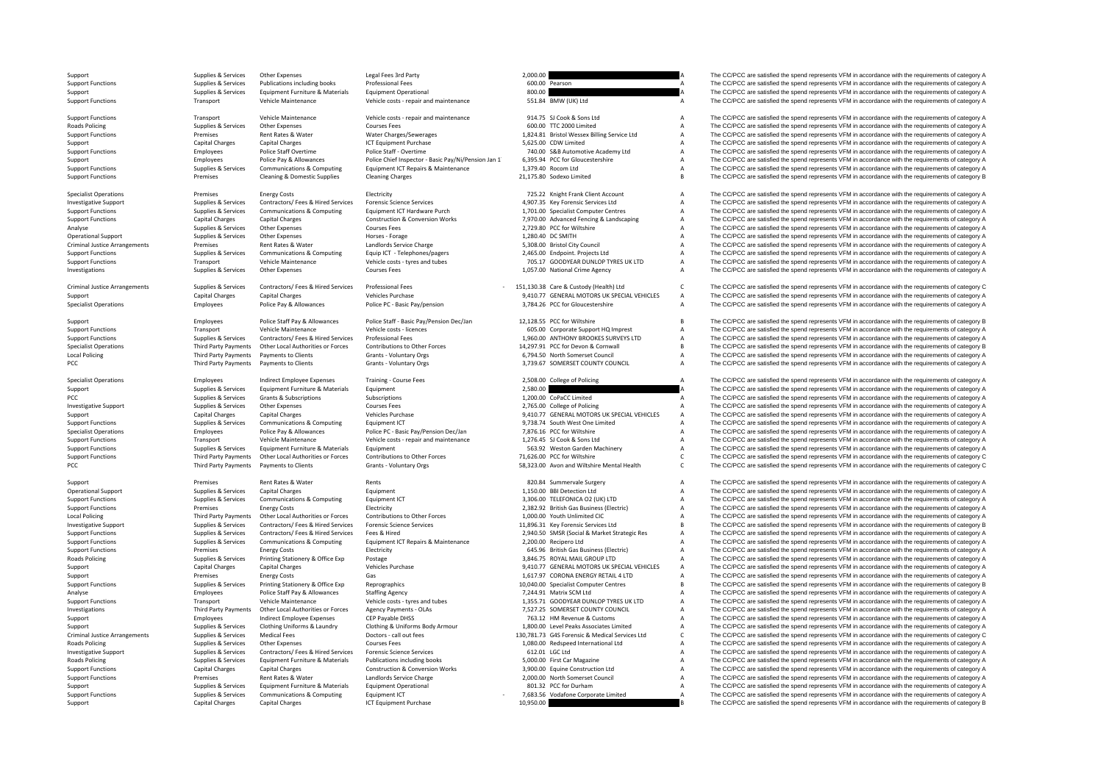**Roads Policing** 

Criminal Justice

Criminal Justice

Local Policing

**Local Policing** Roads Policing Criminal Justice**Roads Policing Roads Policing** 

PCC **Third Party Payments** Payments to Clients

Third Party Payments Payments to Clients

| 0.00 |              |
|------|--------------|
|      | 0.00 Pearson |
| 0.00 |              |

- 
- 
- 
- 

Support Supplies & Services Other Expenses Legal Fees 3rd Party 2,000.00 2000.00 Category A The CC/PCC are satisfied the spend represents VFM in accordance with the requirements of category A Support Functions Support Func Support Functions Supplies & Services Publications including books Professional Fees example and the content of the CC/PCC are satisfied the spend represents VFM in accordance with the requirements of category A Support Te Supporter Support Support Support Support Support Support Operational and the Support of Communicational and the Support of CC/PCC are satisfied the spend represents VFM in accordance with the requirements of category A Support Functions Transport Vehicle Maintenance Vehicle costs - repair and maintenance 551.84 BMW (UK) Ltd A The CC/PCC are satisfied the spend represents VFM in accordance with the requirements of category A

Support Functions Transport Vehicle Maintenance Vehicle costs ‐ repair and maintenance 914.75 SJ Cook & Sons Ltd A The CC/PCC are satisfied the spend represents VFM in accordance with the requirements of category A Policing Supplies & Services Other Expenses Courses Fees Courses Fees Supplies A The CC/PCC are satisfied the spend represents VFM in accordance with the requirements of category A Courses Represents VFM in accordance with Premises Rent Rates & Water Water Charges/Sewerages 1,824.81 Bristol Wessex Billing Service Ltd A The CC/PCC are satisfied the spend represents VFM in accordance with the requirements of category A Support Capital Charges Capital Charges ICT Equipment Purchase 5,625.00 CDW Limited A The CC/PCC are satisfied the spend represents VFM in accordance with the requirements of category A Support Capital Charges Police Staff Support Functions Employees Police Staff Overtime Police Staff - Overtime 740.00 S&B Automotive Academy Ltd A The CC/PCC are satisfied the spend represents VFM in accordance with the requirements of category A<br>Support Poli Employees Police Pay & Allowances Police Chief Inspector - Basic Pay/Ni/Pension Jan 1 6,395.94 PCC for Gloucestershire A The CC/PCC are satisfied the spend represents VFM in accordance with the requirements of category A<br>S Support Functions Supplies Services Communications & Computing Equipment ICT Repairs & Maintenance 1,379.40 Rocom Ltd A The CC/PCC are satisfied the spend represents VFM in accordance with the requirements of category A Su Premises Cleaning & Domestic Supplies Cleaning Charges Cleaning Charges 21,175.80 Sodexo Limited B The CC/PCC are satisfied the spend represents VFM in accordance with the requirements of category B

Specialist Operations The COPCC are assisted the spend represents VFM in accordance with the requirements of category A Electricity Electricity Electricity Electricity Electricity 125.22 Knight Frank Client Account A The C The Support Support Support Support Support Support Support Support Support Support Support Support Support Support Support Support Support Support Support Support Support Support Support Support Support Support Support Fu Supplies & Services Communications & Computing Equipment ICT Hardware Purch 1,701.00 Specialist Computer Centres A The CC/PCC are satisfied the spend represents VFM in accordance with the requirements of category A canital Support Functions Capital Charges Capital Charges Construction & Conversion Works 7,970.00 Advanced Fencing & Landscaping A The CC/PCC are satisfied the spend represents VFM in accordance with the requirements of category Analyse Supplies Services Other Expenses Courses Fees Courses Courses Courses Courses Courses Courses Fees 2,729.80 PCC for Willshire A The CC/PCC are satisfied the spend represents VFM in accordance with the requirements Opplies & Services Other Expenses Mater and Horses - Forage 1,280.40 DC SMITH A The CC/PCC are satisfied the spend represents VFM in accordance with the requirements of category A The CC/PCC are satisfied the spend represe Premises Rent Rates & Water Landlords Service Charge States And City Council City Council A The CC/PCC are satisfied the spend represents VFM in accordance with the requirements of category A Supplies & Services Communications & Computing Equip ICT - Telephones/pagers 2,465.00 Endpoint. Projects Ltd Manual Poper A The CC/PCC are satisfied the spend represents VFM in accordance with the requirements of category Support Functions Transport Vehicle Maintenance Vehicle costs – tyres and tubes 705.17 GOODYEAR DUNLOP TYRES UK LTD A The CC/PCC are satisfied the spend represents VFM in accordance with the requirements of category A clus The CC/PCC are satisfied the spend represents VFM in accordance with the requirements of category A

Supplies & Services Contractors/Fees & Hired Services Professional Fees - 151,130.38 Care & Custody (Health) Ltd<br>Canital Charges Canital Charges Canital Charges Canital Charges Canital Charges Canital Charges Canital Charg Support Capital Charges Capital Charges Vehicles Purchase Vehicles Purchase 9,410.77 GENERAL MOTORS UK SPECIAL VEHICLES A The CC/PCC are satisfied the spend represents VFM in accordance with the requirements of category A The CC/PCC are satisfied the spend represents VFM in accordance with the requirements of category A

Support Employees Police Staff Pay & Allowances Police Staff - Basic Pay/Pension Dec/Jan 12,128.55 PCC for Wiltshire B The CC/PCC are satisfied the spend represents VFM in accordance with the requirements of category B Sup Support Functions Transport Vehicle Maintenance Vehicle costs - licences Costs increases and the CORPOS Corporate Support HQ Imprest A The CC/PCC are satisfied the spend represents VFM in accordance with the requirements o A The CC/PCC are satisfied the spend represents VFM in accordance with the requirements of category A Third Party Payments Other I ocal duthorities or Forces Contributions to Other Forces 14.297.91 PC for Devon & Contral II COPC are satisfied the spend represents VFM in accordance with the requirements of category R Third Party Payments Payments to Clients Grants - Voluntary Orgs examples and the Satisfied Unitary Orgs 6,794.50 North Somerset Council A The CC/PCC are satisfied the spend represents VFM in accordance with the requiremen Grants - Voluntary Orgs 
and the CC/PCC are satisfied the spend represents VFM in accordance with the requirements of category A The CC/PCC are satisfied the spend represents VFM in accordance with the requirements of cate

Specialist Operations Employees Indirect Employee Expenses Training - Course Fees 2,508.00 College of Policing A The CC/PCC are satisfied the spend represents VFM in accordance with the requirements of category A Support Supplies & Services Equipment Furniture & Materials Equipment Equipment 2,580.00 2,580.00 2,580.00 2,580.00 2,580.00 A The CC/PCC are satisfied the spend represents VFM in accordance with the requirements of catego PCC Supplies A Services Grants & Subscriptions Subscriptions Subscriptions Subscriptions Subscriptions Subscriptions 1,200.00 CoPaCC Limited A The CC/PCC are satisfied the spend represents VFM in accordance with the requir Investigative Support Supplies & Services Other Expenses Courses Fees Courses Courses Courses Courses Courses Courses Courses Courses Courses Courses Courses 2,765.00 College of Policing A The CC/PCC are satisfied the spen Support Capital Charges Capital Charges Vehicles Purchase Vehicles Purchase 9,410.77 GENERAL MOTORS UK SPECIAL VEHICLES A The CC/PCC are satisfied the spend represents VFM in accordance with the requirements of category A<br> The CC/PCC are satisfied the spend represents VFM in accordance with the requirements of category A Specialist Operations Employees Police Pay & Allowances Police PC - Basic Pay/Pension Dec/Jan 7,876.16 PCC for Wiltshire A The CC/PCC are satisfied the spend represents VFM in accordance with the requirements of category A Support Functions Transport Vehicle Maintenance Vehicle costs – repair and maintenance 1,276.45 SJ Cook & Sons Ltd A The CC/PCC are satisfied the spend represents VFM in accordance with the requirements of category A Suppo Supplies & Services Equipment Furniture & Materials Equipment Equipment Furniture and Equipment Equipment Equipment<br>Third Party Payments Other Local Authorities or Forces Contributions to Other Forces 71,626.00 PCC for Wil Third Party Payments of the Local Authorities or Forces Contributions to Other Forces 21,626.00 PCC for Willshire CCC The CC/PCC are satisfied the spend represents VFM in accordance with the requirements of category C Cont Grants - Voluntary Orgs have been to clients and Wiltshire Mental Health C The CC/PCC are satisfied the spend represents VFM in accordance with the requirements of category C

Support Premises Rent Rates & Water Rents 820.84 Summervale Surgery A The CC/PCC are satisfied the spend represents VFM in accordance with the requirements of category A Opplies & Services Capital Charges Capital Charges Equipment Equipment Charges Capital Charges Equipment 1,150.00 BBI Detection Ltd A The CC/PCC are satisfied the spend represents VFM in accordance with the requirements of Supplies & Supplies & Services Communications & Computing Equipment ICT 3,306.00 TELEFONICA O2 (UK) LTD A The CC/PCC are satisfied the spend represents VFM in accordance with the requirements of category A Support Functions Energy Costs Energy Costs Energy Costs Electricity Electricity Electricity 2,382.92 British Gas Business (Electric) A The CC/PCC are satisfied the spend represents VFM in accordance with the requirements The CC/PCC are satisfied the spend represents VFM in accordance with the requirements of category A 11,896.31 ky Forensic Services and the COPCC are satisfied the spend represents VFM in accordance with the requirements of category B (1),896.31 ky Forensic Services and the COPCC are satisfied the spend represents VFM in Sunnort Functions and Sunning Services Contractors (Fees Religion Categories Fees & Hired 2005 Sunning Sunnort Experiment Contractors (Fees Religion Categories Categories Categories 2005 SMSR Koncial & Market Strategic Res Support Functions Supplies & Services Communications & Computing Equipment ICT Repairs & Maintenance 2,200.00 Recipero Ltd A The CC/PCC are satisfied the spend represents VFM in accordance with the requirements of category Support Functions Premises Energy Costs Energy Costs Electricity Electricity Electricity Electricity Electricity and the Support Functions and the Support Functions of the Support Functions of the Support Functions of the Policing Supplies & Services Printing Stationery & Office Exp Postage Principal Postage 3,846.75 ROYAL MAIL GROUP LTD A The CC/PCC are satisfied the spend represents VFM in accordance with the requirements of category A Ve Support Capital Charges Capital Charges Capital Charges Vehicles Purchase 9,410.77 GENERAL MOTORS UK SPECIAL VEHICLES A The CC/PCC are satisfied the spend represents VFM in accordance with the requirements of category A<br>Su Support Premises Energy Costs Gas Gas Category Content Content of Content Content Content Content Content Content and the media in the media of the spend represents VFM in accordance with the requirements of category A Support Functions Supplies & Services Printing Stationery & Office Exp Reprographics Network Computer Centres Support Functions and the CC/PCC are satisfied the spend represents VFM in accordance with the requirements of c Employees Police Staff Pay & Allowances Staffing Agency Staffing Agency and tubes 7,244.91 Matrix SCM Ltd A The CC/PCC are satisfied the spend represents VFM in accordance with the requirements of category A The SC/PCC are Support Functions Transport Vehicle Maintenance Vehicle costs – tyres and tubes 1,355.71 GOODYEAR DUNLOP TYRES UK LTD A The CC/PCC are satisfied the spend represents VFM in accordance with the requirements of category A re Third Party Payments Other Local Authorities or Forces Agency Payments - OLAs 7,527.25 SOMERSET COUNTY COUNCIL A The CC/PCC are satisfied the spend represents VFM in accordance with the requirements of category A<br>Support A Employees Indirect Employee Expenses CEP Payable DHSS 763.12 HM Revenue & Customs A The CC/PCC are satisfied the spend represents VFM in accordance with the requirements of category A Customs (Support of category A The CC/ Suppliers & Suppliers Services Clothing Uniforms & Laundry Clothing & Uniforms Body Armour 1,800.00 Level Peaks Associates Limited Manufactured A The CC/PCC are satisfied the spend represents VFM in accordance with the req Arrangements of category Supplies Medical Fees Doctors - call out fees 130,781.73 G4S Forensic & Medical Services Ltd C The CC/PCC are satisfied the spend represents VFM in accordance with the requirements of category C<br>1. Other Expenses Courses Fees 2001 Supplies A Courses Fees 1,080.00 Redspeed International Ltd A The CC/PCC are satisfied the spend represents VFM in accordance with the requirements of category A Investigative Support Supplies & Services Contractors/ Fees & Hired Services Forensic Science Services of States 612.01 LGC Ltd A The CC/PCC are satisfied the spend represents VFM in accordance with the requirements of cat Supplies & Services Equipment Furniture & Materials Publications including books 5,000.00 First Car Magazine A The CC/PCC are satisfied the spend represents VFM in accordance with the requirements of category A Support Functions Capital Charges Capital Charges Capital Charges Construction & Construction & Conversion Works 3,900.00 Equine Construction Ltd A The CC/PCC are satisfied the spend represents VFM in accordance with the r Support Functions Premises Rent Rates & Water Landlords Service Charge 2,000.00 North Somerset Council A The CC/PCC are satisfied the spend represents VFM in accordance with the requirements of category A Support Council S Support Supplies & Services Equipment Furniture & Materials Equipment Operational 801.32 PCC for Durham A The CC/PCC are satisfied the spend represents VFM in accordance with the requirements of category A Supplies & Services Communications & Computing Equipment ICT composed and a manufaction of the COPCC are satisfied the spend represents VFM in accordance with the requirements of category A capital Charges Capital Charges Support Capital Charges Capital Charges Capital Charges ICT Equipment Purchase 10,950.00 100 B The CC/PCC are satisfied the spend represents VFM in accordance with the requirements of category B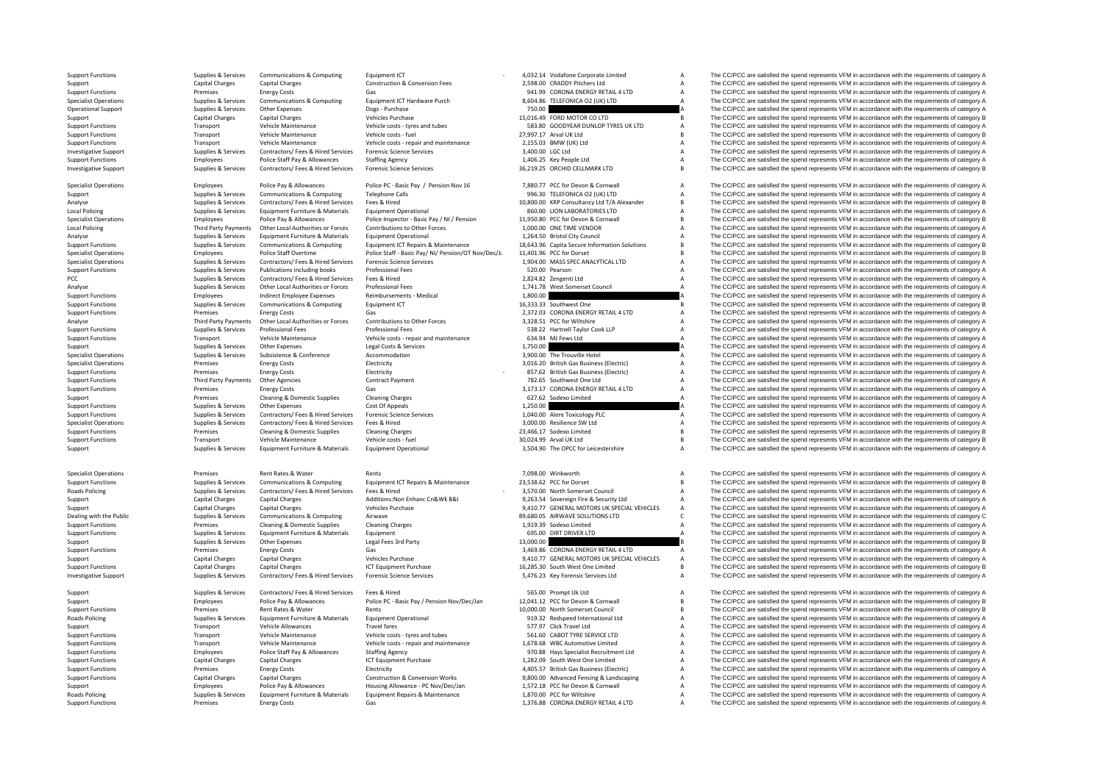Local Policing Local Policing

Roads Policing

**Roads Policing Roads Policing** 

Support Functions Supplies & Services Communications & Computing Equipment ICT - 4,032.14 Vodafone Corporate Limited A The CC/PCC are satisfied the spend represents VFM in accordance with the requirements of category A<br>Cap Support Capital Charges Capital Charges Capital Charges Construction & Conversion Fees 2,598.00 CRADDY Pitchers Ltd A The CC/PCC are satisfied the spend represents VFM in accordance with the requirements of category A Supp Support Functions Support Costs Energy Costs Gas 941.99 CORONA ENERGY RETAIL 4 LTD A The CC/PCC are satisfied the spend represents VFM in accordance with the requirements of category A Specialist Operations Supplies & Services Communications & Computing Equipment ICT Hardware Purch 8,604.86 TELEFONICA O2 (UK) LTD A The CC/PCC are satisfied the spend represents VFM in accordance with the requirements of category A Operational Supplies Support Support Support Support Support Support Support Support Support Support Support Support Support On the Support of the Support Support Support Support On the Support of Category A The CC/PCC are Support Capital Charges Capital Charges Vehicles Purchase 15,016.49 FORD MOTOR CO LTD B The CC/PCC are satisfied the spend represents VFM in accordance with the requirements of category B Support Tunctions Transport Vehicle Maintenance Vehicle costs ryes and tubes 583.80 GOODYEAR DUNLOP TYRES UK LTD A The CC/PCC are satisfied the spend represents VFM in accordance with the requirements of category A The Sup Support Transport Functions Transport Functions Transport Transport Vehicle Management VEM in accordance with the requirements of category B The CC/PCC are satisfied the spend represents VFM in accordance with the requirem Support Functions Transport Vehicle Maintenance Vehicle costs - repair and maintenance 2,155.03 BMW (UK) Ltd A The CC/PCC are satisfied the spend represents VFM in accordance with the requirements of category A The CC/PCC Investigative Support Supplies & Services Contractors/ Fees & Hired Services Forensic Science Services Services 3,400.00 LGC Ltd A The CC/PCC are satisfied the spend represents VFM in accordance with the requirements of ca Support Functions Support Functions Employees Police Staff Pay & Allowances Staff Pay & Allowances Staff Pay & Allowances Staff Pay & Allowance Staff Pay & Allowance Staff Pay & Allowance Staff Pay & Allowance Staff Pay & Investigative Support Support Supplies & Services Contractors/ Fees & Hired Services Forensic Science Services of Services Contractors/ Fees & Hired Services Forensic Science Services 36,219.25 ORCHID CELLMARK LTD B The CC

Specialist Operations Contains and the produces and Police Park Police PC - Basic Pay / Pension Nov 16 7880.77 PCC for Devon & Cornwall Corneration A The CC/PCC are satisfied the spend represents VFM in accordance with the Support Supplies & Services Communications & Computing Telephone Calls and the Support of the Support of the COMPOS are satisfied the spend represents VFM in accordance with the requirements of category A analyse Support o Analyse Supplies & Services Contractors/ Fees & Hired Services Fees & Hired Hired 10,800.00 KRP Consultancy Ltd T/A Alexander B The CC/PCC are satisfied the spend represents VFM in accordance with the requirements of categ Supplies & Services Equipment Furniture & Materials Equipment Operational and the Supplies and S60.00 LION LABORATORIES LTD A The CC/PCC are satisfied the spend represents VFM in accordance with the requirements of categor Specialist Operations Third Party Pallowances Police Pay & Allowances Police Inspector - Basic Pay / Ni / Pension 11,950.80 PCC for Devon & Cornwall Basic Day The CC/PCC are satisfied the spend represents VFM in accordance Policing The Collective Third Party Party Party Party Party Party Party Party Party Party Party Party Party Party Party Party Party Party Party Party Party Party Party Party Party Party Party Party Party Party Party Party Analyse Supplies & Services Equipment Furniture & Materials Equipment Operational 1,264.50 Bristol City Council A The CC/PCC are satisfied the spend represents VFM in accordance with the requirements of category A Supplies Supplies & Services Communications & Computing Equipment ICT Repairs & Maintenance 18.643.96 Capita Secure Information Solutions B The CC/PCC are satisfied the spend represents VFM in accordance with the requirements of ca Specialist Operations Employees Police Staff Overtime Police Staff - Basic Pay/ NI/ Pension/OT Nov/Dec/J: 11,401.96 PCC for Dorset B The CC/PCC are satisfied the spend represents VFM in accordance with the requirements of Supplies Supplies & Services Contractors/ Fees & Hired Services Forensic Science Services of the Supplies Associated the Supplies Services of the COPCC are satisfied the spend represents VFM in accordance with the requirem Support Functions Supplies & Services Publications including books Professional Fees Services Professional Fees 520.00 Pearson A The CC/PCC are satisfied the spend represents VFM in accordance with the requirements of cate The CC/PCC are satisfied the spend represents VFM in accordance with the requirements of category A Analyse Supplies & Services Other Local Authorities or Forces Professional Fees Professional Fees 1,741.78 West Somerset Council A The CC/PCC are satisfied the spend represents VFM in accordance with the requirements of ca Support Functions Employees Indirect Employee Expenses Reimbursements - Medical 1,800.00 A The CC/PCC are satisfied the spend represents VFM in accordance with the requirements of category A Support Functions and the requi Support Functions Support Functions Support Functions Supplies The CC/PCC are satisfied the spend represents VFM in accordance with the requirements of category B The CC/PCC are satisfied the spend represents VFM in accord Support Functions Constant Contracts Constant Costs Gas 2,372.03 CORONA ENERGY RETAIL 4 LTD A The CC/PCC are satisfied the spend represents VFM in accordance with the requirements of category A Analyse Third Party Payments Other Local Authorities or Forces Contributions to Other Forces 3,328.51 PCC for Willshire A The CC/PCC are satisfied the spend represents VFM in accordance with the requirements of category A Support Functions Supplies & Services Professional Fees Professional Fees Professional Fees Professional Fees Professional Fees Professional Fees Professional Fees Professional Fees Professional Fees Support Functions A Th Transport Vehicle Maintenance Vehicle costs - repair and maintenance 634.94 MJ Fews Ltd A The CC/PCC are satisfied the spend represents VFM in accordance with the requirements of category A Support Costs are very approxima Support Supplies & Services Other Expenses Legal Costs & Services 1,750.00 A The CC/PCC are satisfied the spend represents VFM in accordance with the requirements of category A Support Costs are and the requirements of cat Subsistence Subsistence Accommodation and the Supplies Supplies Subsidiality of the CC/PCC are satisfied the spend represents VFM in accordance with the requirements of category A Specialist Operations Specialist Operations Premises Energy Costs Electricity Electricity and a state of the Subsiness (Electricity and a The CC/PCC are satisfied the spend represents VFM in accordance with the requirement Support Functions Premises Functions Energy Costs Electricity Electricity 857.62 British Gas Business (Electricity A The CC/PCC are satisfied the spend represents VFM in accordance with the requirements of category A Support Functions Third Party Payments Other Agencies Contract Payment Contract Payment 782.65 Southwest One Ltd A The CC/PCC are satisfied the spend represents VFM in accordance with the requirements of category A Support Energy Costs Gas Gas Gas Support Contains Contains Contains Contains Costs Costs Gas 3,173.17 CORONA ENERGY RETAIL 4 LTD A The CC/PCC are satisfied the spend represents VFM in accordance with the requirements of category A Support Premises Cleaning & Domestic Supplies Cleaning Charges Cleaning Charges Cleaning Charges 627.62 Sodexo Limited A The CC/PCC are satisfied the spend represents VFM in accordance with the requirements of category A S Other Expenses Cost Of Appeals Cost Of Appeals Cost Of Appeals Cost Of Appeals Cost Of Appeals Cost Of Appeals Cost Of Appeals 1,250.00 A The CC/PCC are satisfied the spend represents VFM in accordance with the requirement Support Functions Supplies & Services Contractors/ Fees & Hired Services Forensic Science Services of a magazine and the Toxicology PLC and The CC/PCC are satisfied the spend represents VFM in accordance with the requireme A The CC/PCC are satisfied the spend represents VFM in accordance with the requirements of category A Support Functions Premises Cleaning & Domestic Supplies Cleaning Charges Cleaning Charges 23,466.17 Sodexo Limited B The CC/PCC are satisfied the spend represents VFM in accordance with the requirements of category B Vehic Support Functions Transport Vehicle Maintenance Vehicle costs - fuel Vehicle costs - fuel 30,024.99 Arval UK Ltd B The CC/PCC are satisfied the spend represents VFM in accordance with the requirements of category B Support The CC/PCC are satisfied the spend represents VFM in accordance with the requirements of category A

Specialist Operations Premises Rent Rent Rents Rents Rents Rents 7,098.00 Winkworth A The CC/PCC are satisfied the spend represents VFM in accordance with the requirements of category A Supplies & Supplies & Services Communications & Computing Equipment ICT Repairs & Maintenance 23,538.62 PCC for Dorset Dunch Band The CC/PCC are satisfied the spend represents VFM in accordance with the requirements of cat Supplies & Services Contractors/ Fees & Hired Services Fees & Hired Hired Hired Comes Council 2000 and The CCPCC are satisfied the spend represents VFM in accordance with the requirements of category A and the comes Additi Support Capital Charges Capital Charges Additions:Non Enhanc Cn&Wk B&I 9,263.54 Sovereign Fire & Security Ltd A The CC/PCC are satisfied the spend represents VFM in accordance with the requirements of category A Support Capital Charges Capital Charges Vehicles Purchase Vehicles Purchase 9,410.77 GENERAL MOTORS UK SPECIAL VEHICLES A The CC/PCC are satisfied the spend represents VFM in accordance with the requirements of category A Communications & Computing Airwave Airwave Services Computer Supplies Airwave 89,680.05 AIRWAVE SOLUTIONS LTD C The CC/PCC are satisfied the spend represents VFM in accordance with the requirements of category C Support Functions Premises Cleaning & Domestic Supplies Cleaning Charges Cleaning Charges 1,919.39 Sodexo Limited A The CC/PCC are satisfied the spend represents VFM in accordance with the requirements of category A Suppor Support Functions Supplies & Services Equipment Functions & Materials Equipment 695.00 DIRT DRIVER LTD A The CC/PCC are satisfied the spend represents VFM in accordance with the requirements of category A Support Supplies & Services Other Expenses Legal Fees 3rd Party 13,000.00 13,000.00 B The CC/PCC are satisfied the spend represents VFM in accordance with the requirements of category B Support Functions Premises Energy Costs Gas Gas Gas Gas Support Buckles Purchase Support The CORONA ENERGY RETAIL 4 LTD A The CC/PCC are satisfied the spend represents VFM in accordance with the requirements of category A Support Capital Charges Capital Charges Capital Charges Vehicles Purchase 9,410.77 GENERAL MOTORS UK SPECIAL VEHICLES A The CC/PCC are satisfied the spend represents VFM in accordance with the requirements of category A Su B The CC/PCC are satisfied the spend represents VFM in accordance with the requirements of category B Investigative Support Support Supporter Supporter Supporter Supporter Supporter Supporter Supporter Supporter Supporter Supporter Supporter Supporter Supporter Supporter Supporter Supporter Supporter Supporter Supporter Su

Support Supplies & Services Contractors/ Fees & Hired Services Fees & Hired Hired Services Fees & Hired Services Fees & Hired Services Fees & Hired Service Contractors/ Fees & Hired Service Fees & Hired 565.00 Prompt Uk Lt Support Employees Police Pay & Allowances Police PC • Basic Pay / Pension Nov/Dec/Jan 12,041.12 PCC for Devon & Cornwall B The CC/PCC are satisfied the spend represents VFM in accordance with the requirements of category B Premises Rent Rates & Water Rents Rents Rents Rents Rents Rents Rents Rents Rents Rents Rents Rents Rents Rent<br>Supplies & Services Equipment Functions of Equipment Soletions and Departional Media of the Some of The CC/PCC Policing Supplies And the Supplies Equipment Operational Materials Category A The CC/PCC are satisfied the spend represents VFM in accordance with the requirements of category A The CC/PCC are satisfied the spend represent Support Transport Vehicle Allowances Travel fares Travel fares 57.97 Click Travel Ltd A The CC/PCC are satisfied the spend represents VFM in accordance with the requirements of category A The COMPOS are satisfied the spend Support Functions Transport Vehicle Maintenance Vehicle costs – tyres and tubes 561.60 CABOT TYRE SERVICE LTD A The CC/PCC are satisfied the spend represents VFM in accordance with the requirements of category A Support Fu Transport Vehicle Maintenance Vehicle costs ‐ repair and maintenance 1,678.68 WBC Automotive Limited A The CC/PCC are satisfied the spend represents VFM in accordance with the requirements of category A Support Functions Employees Police Staff Pay & Allowances Staffing Agency 970.88 Hays Specialist Recruitment Ltd A The CC/PCC are satisfied the spend represents VFM in accordance with the requirements of category A Support Functions Capital Charges Capital Charges Capital Charges ICT Equipment Purchase 1,282.09 South West One Limited A The CC/PCC are satisfied the spend represents VFM in accordance with the requirements of category A Support Functions Premises Energy Costs Energy Costs Electricity Electricity and the Electricity and the system of the Support Functions A The CC/PCC are satisfied the spend represents VFM in accordance with the requiremen Support Functions Capital Charges Capital Charges Capital Charges Construction & Conversion Works 9,800.00 Advanced Fencing & Landscaping A The CC/PCC are satisfied the spend represents VFM in accordance with the requireme Support Employees Police Pay & Allowances Housing Allowance - PC Nov/Dec/Jan 1,572.18 PCC for Devon & Cornwall A The CC/PCC are satisfied the spend represents VFM in accordance with the requirements of category A Supplies & Services Equipment Furniture & Materials Equipment Repairs & Maintenance 1,870.00 PCC for Wiltshire A The CC/PCC are satisfied the spend represents VFM in accordance with the requirements of category A Support Functions Premises Energy Costs Gas Gas Functions Cases CORONA ENERGY RETAIL 4 LTD A The CC/PCC are satisfied the spend represents VFM in accordance with the requirements of category A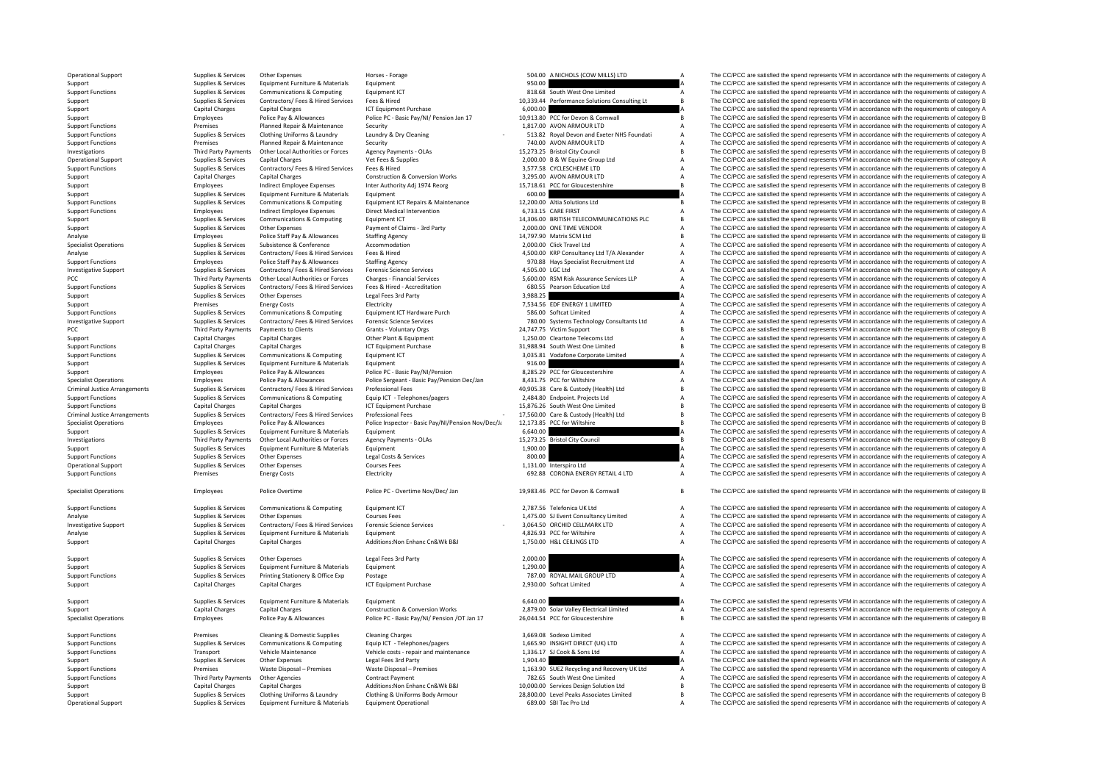PCC Third Third Third Third Third Third Third Third Third Third Third Third Third Third Third Third Third Third Criminal JusticeCriminal Justice

Third Party Payments

|    | 504.00           | A NICHOLS (COW MILLS) LTD                                                                               | A      |
|----|------------------|---------------------------------------------------------------------------------------------------------|--------|
|    | 950.00           |                                                                                                         | A      |
|    |                  | 818.68 South West One Limited                                                                           | A      |
|    |                  | 10,339.44 Performance Solutions Consulting Lt                                                           | B      |
|    | 6,000.00         |                                                                                                         | Δ      |
|    |                  |                                                                                                         | B      |
|    |                  | 10,913.80 PCC for Devon & Cornwall<br>1,817.00 AVON ARMOUR LTD                                          | A      |
|    |                  |                                                                                                         |        |
|    |                  | 513.82 Royal Devon and Exeter NHS Foundati                                                              | A      |
|    |                  | 740.00 AVON ARMOUR LTD                                                                                  | A      |
|    |                  | 15,273.25 Bristol City Council                                                                          | B      |
|    |                  | 2,000.00 B & W Equine Group Ltd                                                                         | A      |
|    |                  | 3,577.58 CYCLESCHEME LTD                                                                                | A      |
|    |                  | 3,295.00 AVON ARMOUR LTD                                                                                | A      |
|    | 15,718.61        | PCC for Gloucestershire                                                                                 | B      |
|    | 600.00           |                                                                                                         | A      |
|    |                  | 12,200.00 Altia Solutions Ltd                                                                           | B      |
|    |                  | 6,733.15 CARE FIRST                                                                                     | Δ      |
|    |                  | 14,306.00 BRITISH TELECOMMUNICATIONS PLC                                                                | B      |
|    |                  |                                                                                                         |        |
|    |                  | 2,000.00 ONE TIME VENDOR                                                                                | A      |
|    |                  | 14,797.90 Matrix SCM Ltd                                                                                | B      |
|    |                  | 2,000.00 Click Travel Ltd                                                                               | A      |
|    |                  | 4,500.00 KRP Consultancy Ltd T/A Alexander                                                              | A      |
|    |                  | 970.88 Hays Specialist Recruitment Ltd                                                                  | A      |
|    | 4,505.00 LGC Ltd |                                                                                                         | A      |
|    |                  | 5,600.00 RSM Risk Assurance Services LLP                                                                | A      |
|    |                  | 680.55 Pearson Education Ltd                                                                            | A      |
|    | 3,988.25         |                                                                                                         | A      |
|    |                  | 7,534.56 EDF ENERGY 1 LIMITED                                                                           | A      |
|    |                  |                                                                                                         | A      |
|    |                  | 586.00 Softcat Limited                                                                                  |        |
|    |                  | 780.00 Systems Technology Consultants Ltd                                                               | A      |
|    |                  | 24,747.75 Victim Support                                                                                | B      |
|    |                  | 1,250.00 Cleartone Telecoms Ltd                                                                         | A      |
|    |                  | 31,988.94 South West One Limited                                                                        | B      |
|    | 3,035.81         | Vodafone Corporate Limited                                                                              | Δ      |
|    | 916.00           |                                                                                                         | A      |
|    |                  | 8,285.29 PCC for Gloucestershire<br>8,431.75 PCC for Wiltshire<br>40,905.38 Care & Custody (Health) Ltd | A      |
|    |                  |                                                                                                         | A      |
|    |                  |                                                                                                         | B      |
|    |                  | 2,484.80 Endpoint. Projects Ltd                                                                         | A      |
|    |                  | 15,876.26 South West One Limited                                                                        | B      |
|    |                  |                                                                                                         |        |
|    |                  |                                                                                                         |        |
|    |                  | 17,560.00 Care & Custody (Health) Ltd                                                                   | B      |
| h. |                  | 12,173.85 PCC for Wiltshire                                                                             | B      |
|    | 6,640.00         |                                                                                                         | A      |
|    | 15,273.25        | <b>Bristol City Council</b>                                                                             | R      |
|    | 1,900.00         |                                                                                                         | A      |
|    | 800.00           |                                                                                                         | A      |
|    |                  | 1,131.00 Interspiro Ltd                                                                                 | A      |
|    |                  | 692.88 CORONA ENERGY RETAIL 4 LTD                                                                       | A      |
|    |                  |                                                                                                         |        |
|    |                  |                                                                                                         |        |
|    |                  | 19,983.46 PCC for Devon & Cornwall                                                                      | B      |
|    |                  |                                                                                                         |        |
|    |                  | 2,787.56 Telefonica UK Ltd                                                                              | A      |
|    |                  | 1,475.00 SJ Event Consultancy Limited                                                                   | A      |
|    |                  | 3,064.50 ORCHID CELLMARK LTD                                                                            | A      |
|    |                  | 4,826.93 PCC for Wiltshire                                                                              | A      |
|    |                  | 1,750.00 H&L CEILINGS LTD                                                                               | Δ      |
|    |                  |                                                                                                         |        |
|    | 2,000.00         |                                                                                                         | Δ      |
|    | 1,290.00         |                                                                                                         | Δ      |
|    |                  |                                                                                                         | A      |
|    |                  | 787.00 ROYAL MAIL GROUP LTD                                                                             | A      |
|    |                  | 2,930.00 Softcat Limited                                                                                |        |
|    |                  |                                                                                                         |        |
|    | 6,640.00         |                                                                                                         | A      |
|    | 2,879.00         | Solar Valley Electrical Limited                                                                         | A      |
|    |                  | 26,044.54 PCC for Gloucestershire                                                                       | B      |
|    |                  |                                                                                                         |        |
|    |                  | 3,669.08 Sodexo Limited                                                                                 | A      |
|    |                  | 1,665.90 INSIGHT DIRECT (UK) LTD                                                                        | A      |
|    | 1,336.17         | SJ Cook & Sons Ltd                                                                                      | A      |
|    | 1,904.40         |                                                                                                         | A      |
|    |                  |                                                                                                         | Δ      |
|    |                  | 1,163.90 SUEZ Recycling and Recovery UK Ltd                                                             | A      |
|    |                  | 782.65 South West One Limited                                                                           |        |
|    |                  | 10,000.00 Services Design Solution Ltd                                                                  | B<br>B |
|    |                  | 28,800.00 Level Peaks Associates Limited                                                                |        |
|    |                  | 689.00 SBI Tac Pro Ltd                                                                                  | A      |

Operational Support Supplies & Services Other Expenses Horses Forage Horses Forage Support Horses Forage Support<br>Support Support Support Support Support Support Formula Support Support Support Support Support Support Suppo Support Support Supplies Access Equipment Furniture & Materials Equipment Computer Computer Computer Computer Computer Computer Computer of COMPUT A The CC/PCC are satisfied the spend represents VFM in accordance with the Support Functions Supplies & Services Communications & Computing Equipment ICT 818.68 South West One Limited A The CC/PCC are satisfied the spend represents VFM in accordance with the requirements of category A Support Fun Support Supplies & Services Contractors/ Fees & Hired Services Fees & Hired 10,339.44 Performance Solutions Consulting Lt B The CC/PCC are satisfied the spend represents VFM in accordance with the requirements of category Support Capital Charges Capital Charges ICT Equipment Purchase 1CT Equipment Purchase 6,000.00 6,000.00 A The CC/PCC are satisfied the spend represents VFM in accordance with the requirements of category A Support Charges Support Employees Police Pay & Allowances Police PC - Basic Pay/NI/ Pension Jan 17 10,913.80 PCC for Devon & Cornwall B The CC/PCC are satisfied the spend represents VFM in accordance with the requirements of category B Support Functions Premises Planned Repair & Maintenance Security 1, 217.00 AVON ARMOUR LTD A The CC/PCC are satisfied the spend represents VFM in accordance with the neguirements of category A Clothing Uniforms & Laundry Laundry & Dry Cleaning Collecting Clothing Uniforms & Laundry Managements of Category A<br>Planned Renair & Maintenance Security Security Security 140.00 AVON ARMOUR LTD A The CC/PCC are satisfied Support Functions Premises Planned Repair & Maintenance Security 740.00 AVON ARMOUR LTD A The CC/PCC are satisfied the spend represents VFM in accordance with the requirements of category A Investigations Third Party Payme Third Party Payments Other Local Authorities or Forces Agency Payments - OLAs 15.273.25 Bristol City Council Company Barty Concerned B The CC/PCC are satisfied the spend represents VFM in accordance with the requirements o Operational Support Supplies & Supplies Capital Charges Vet Fees & Supplies Vet Fees & Supplies 2,000.00 B & W Equine Group Ltd A The CC/PCC are satisfied the spend represents VFM in accordance with the requirements of cat Support Functions Supplies & Services Contractors/ Fees & Hired Services Fees & Hired Hired Services Fees & Hired Services Fees & Hired 3,577.58 CYCLESCHEME LTD A The CC/PCC are satisfied the spend represents VFM in accord Support Capital Charges Capital Charges Construction & Conversion Works 3,295.00 AVON ARMOUR LTD A The CC/PCC are satisfied the spend represents VFM in accordance with the requirements of category A Support Capital Charges Support Employees Indirect Employee Expenses Inter Authority Adj 1974 Reorg 15,718.61 PCC for Gloucestershire B The CC/PCC are satisfied the spend represents VFM in accordance with the requirements of category B The CC/PCC Support Supplies & Services Equipment Furniture & Materials Equipment 600.00 600.00 600.00 The CC/PCC are satisfied the spend represents VFM in accordance with the requirements of category A Support Functions Supplies & Services Communications & Computing Equipment ICT Repairs & Maintenance 12,200.00 Altia Solutions Ltd The CCPCC are satisfied the spend represents VFM in accordance with the requirements of cat Employees Indirect Employee Expenses Direct Medical Intervention 6,733.15 CARE FIRST A The CC/PCC are satisfied the spend represents VFM in accordance with the requirements of category A Support Supplies & Services Communications & Computing Equipment ICT Equipment ICT 14,306.00 BRITISH TELECOMMUNICATIONS PLC B The CC/PCC are satisfied the spend represents VFM in accordance with the requirements of categor Support Supplies & Services Other Expenses Payment of Claims - 3rd Party 2,000.00 ONE TIME VENDOR A The CC/PCC are satisfied the spend represents VFM in accordance with the requirements of category A Payment of Claims - 3r Analyse Employees Police Staff Pay & Allowances Staffing Agency 14,797.90 Matrix SCM Ltd B The CC/PCC are satisfied the spend represents VFM in accordance with the requirements of category B Superintents of category B Supe Specialist Operations Supplies & Supplies & Subsistence & Conference Accommodation Accommodation 2,000.00 Click Travel Ltd A The CC/PCC are satisfied the spend represents VFM in accordance with the requirements of category Analyse Supplies & Services Contractors/ Fees & Hired Services Fees & Hired Musical Hired 4,500.00 KRP Consultancy Ltd T/A Alexander A The CC/PCC are satisfied the spend represents VFM in accordance with the requirements o Employees Police Staff Pay & Allowances Staffing Agency Stations and the Support of Category Associalist Recruitment Ltd A The CC/PCC are satisfied the spend represents VFM in accordance with the requirements of category A Investigative Support Support Support Support Support Support Support Support Support Support Support Support Support Support Support Support Support Support Support Support Support Support Support Support Support Support The CC/PCC are satisfied the spend represents VFM in accordance with the requirements of category A Sunnort Functions Sunnites & Services Contractors/ Fees & Hired Services Fees & Hired Services Fees & Hired Accreditation 680.55 Pearson Education Itd A The CC/PCC are satisfied the spend represents VFM in accordance with Support Supplies & Services Other Expenses Legal Fees 3rd Party 3,988.25 A The CC/PCC are satisfied the spend represents VFM in accordance with the requirements of category A<br>Support Premises Energy Costs Entertainty and t Premises Energy Costs Electricity Electricity 7,534.56 EDF ENERGY 1 LIMITED A The CC/PCC are satisfied the spend represents VFM in accordance with the requirements of category A<br>Support of the spend of the spend of the spe Support Functions Supplies & Services Communications & Computing Equipment ICT Hardware Purch 586.00 Softcat Limited A The CC/PCC are satisfied the spend represents VFM in accordance with the requirements of category A The Investigative Support Support Support Support Support Support Support Support Support Support Support Support Support Support Support Support Support Support Support Third Party Payments of category A Crants-Voluntary Orgs Party Payments Payments to Clients Grants - Voluntary Orgs 24,747.75 Victim Support B The CC/PCC are satisfied the spend represents VFM in accordance with the requirements of category B Capital Charges Capital Charges Capi Support Capital Charges Capital Charges Other Plant & Equipment 1,250.00 Cleartone Telecoms Ltd A The CC/PCC are satisfied the spend represents VFM in accordance with the requirements of category A Support Functions Support Functions Capital Charges Capital Charges ICT Equipment Purchase 31,988.94 South West One Limited B The CC/PCC are satisfied the spend represents VFM in accordance with the requirements of categor Support Functions Supplies & Services Communications & Computing Equipment ICT 3,035.81 Vodafone Corporate Limited A The CC/PCC are satisfied the spend represents VFM in accordance with the requirements of category A Support Supplies & Services Equipment Furniture & Materials Equipment equipment equipment and the service of the Service of the Service of the Service of the Service of Collegative Area and the requirements of category A T Support Employees Police Pay & Allowances Police PC · Basic Pay/NI/Pension 8,285.29 PCC for Gloucestershire A The CC/PCC are satisfied the spend represents VFM in accordance with the requirements of category A Specialist Operations Contract on the Environment of catenony and the September 2016 of the September 2016 of the September 2017 and the COPCG are satisfied the spend represents VEM in accordance with the requirements of c Arrangements Supplies & Services Contractors/ Fees & Hired Services Professional Fees 40,905.38 Care & Custody (Health) Ltd <sup>B</sup> The CC/PCC are satisfied the spend represents VFM in accordance with the requirements of category B Support Functions Supporters Supporters (Supporters Communications & Computing Equip CT - Telephones/pagers 2.484.80 Endpoint, Projects Ltd A The CC/PCC are satisfied the spend represents VFM in accordance with the require Support Functions Capital Charges Capital Charges ICT Equipment Purchase 15,876.26 South West One Limited B The CC/PCC are satisfied the spend represents VFM in accordance with the requirements of category B Criminal Justice Arrangements Supplies & Services Contractors/ Fees & Hired Services Professional Fees<br>
Police Pave Allowances Police Pave Allowances Police Inspection Reside Police Inspection Reside Police Inspection Resi Employees Police Pay & Allowances Police Inspector - Basic Pay/NI/Pension Nov/Dec/Ji 12,173.85 PCC for Wiltshire Business Decomposity Decomposity Decomposity Based to provide the spend represents VFM in accordance with the Support Supplies & Services Equipment Furniture & Materials Equipment exercise Equipment Culture and Materials Equipment Culture and The CC/PCC are satisfied the spend represents VFM in accordance with the requirements of Third Party Payments Other Local Authorities or Forces Agency Payments - OLAs 15,273.25 Bristol City Council City Council B The CC/PCC are satisfied the spend represents VFM in accordance with the requirements of category Support Support Turniture of the CC/PCC are satisfied the spend represents VFM in accordance with the requirements of category A<br>A The CC/PCC are satisfied the spend represents VFM in accordance with the requirements of ca Support Functions Supplies & Services Other Expenses Legal Costs & Services 800.00 A The CC/PCC are satisfied the spend represents VFM in accordance with the requirements of category A Operational Support Supplies Services Other Expenses Courses Fees Courses Courses Courses Courses Courses Fees<br>
Support Permises Courses Support Support Support of the spend of the spend represents VFM in accordance with t Premises Energy Costs Electricity Electricity 692.88 CORONA ENERGY RETAIL 4 LTD A The CC/PCC are satisfied the spend represents VFM in accordance with the requirements of category A Specialist Operations Employees Police Overtime Police PC - Overtime Nov/Dec/ Jan 19,983.46 PCC for Devon & Cornwall B The CC/PCC are satisfied the spend represents VFM in accordance with the requirements of category B Support Functions Supplies & Services Communications & Computing Equipment ICT 2,787.56 Telefonica UK Ltd A The CC/PCC are satisfied the spend represents VFM in accordance with the requirements of category A Analyse Supplies & Services Other Expenses Courses Courses Fees 1,475.00 SJ Event Consultancy Limited A The CC/PCC are satisfied the spend represents VFM in accordance with the requirements of category A Declevent Supplies Investigative Support Support Support Support Support Support Support Support Support Support Support Support Support Support Support Support Support Support Support Support Support Support Support Support Support Support Analyze Supplies Services Equipment Furniture & Materials Equipment 4,926.93 PCC for Wiltshire 4,826.93 PCC for Wiltshire A The CC/PCC are satisfied the spend represents VFM in accordance with the requirements of category Support Capital Charges Capital Charges Additions:Non Enhanc Cn&Wk B&I 1,750.00 H&L CEILINGS LTD A The CC/PCC are satisfied the spend represents VFM in accordance with the requirements of category A Support Supplies & Services Other Expenses Legal Fees 3rd Party 2,000.00 2,000.00 A The CC/PCC are satisfied the spend represents VFM in accordance with the requirements of category A Support Support Support Support Suppor Support Supplies & Services Equipment Furniture & Materials Equipment 1,290.00 1,290.00 A The CC/PCC are satisfied the spend represents VFM in accordance with the requirements of category A Support Functions Supplies & Services Printing Stationery & Office Exp Postage 787.00 ROYAL MAIL GROUP LTD A The CC/PCC are satisfied the spend represents VFM in accordance with the requirements of category A Support Capital Charges Capital Charges ICT Equipment Purchase 2,930.00 Softcat Limited A The CC/PCC are satisfied the spend represents VFM in accordance with the requirements of category A Support Supplies & Services Equipment Furniture & Materials Equipment Equipment Equipment Equipment Equipment Equipment Construction & Construction & Conversion Works and the spend of the SC/PCC are satisfied the spend rep Support Capital Charges Capital Charges Capital Charges Construction & Conversion Works 2,879.00 Solar Valley Electrical Limited A The CC/PCC are satisfied the spend represents VFM in accordance with the requirements of ca The CC/PCC are satisfied the spend represents VFM in accordance with the requirements of category B Support Functions Support Premises Cleaning & Domestic Supplies Cleaning Charges Cleaning Charges 3,669.08 Sodexo Limited A The CC/PCC are satisfied the spend represents VFM in accordance with the requirements of category Support Functions Supplies & Services Communications & Computing Equip ICT - Telephones/pagers 1,665.90 INSIGHT DIRECT (UK) LTD A The CC/PCC are satisfied the spend represents VFM in accordance with the requirements of cat Support Functions Transport Vehicle Maintenance Vehicle costs - repair and maintenance 1,336.17 SJ Cook & Sons Ltd A The CC/PCC are satisfied the spend represents VFM in accordance with the requirements of category A Support Supplies & Services Other Expenses Legal Fees 3rd Party 1,904.40 1,904.40 The CC/PCC are satisfied the spend represents VFM in accordance with the requirements of category A Support Functions Premises Waste Disposal – Premises Waste Disposal – Premises Waste Disposal – Premises Waste Disposal – Premises 1,163.90 SUEZ Recycling and Recovery UK Ltd A The CC/PCC are satisfied the spend represents Support Functions Third Party Payments Other Agencies Contract Payment Contract Payment 782.65 South West One Limited A The CC/PCC are satisfied the spend represents VFM in accordance with the requirements of category A Su Support Capital Charges Capital Charges Additions:Non Enhanc Cn&Wk B&I 10,000.00 Services Design Solution Ltd B The CC/PCC are satisfied the spend represents VFM in accordance with the requirements of category B Sunning Reserving Sunning & Services Clothing Uniforms & Laundry Clothing & Uniforms Redu Armour 28,800,00 Level Deaks Associates Limited R The CC/PCC are satisfied the spend represents VFM in accordance with the requireme Operational Support Supplies & Services Equipment Furniture & Materials Equipment Operational 689.00 SBI Tac Pro Ltd A The CC/PCC are satisfied the spend represents VFM in accordance with the requirements of category A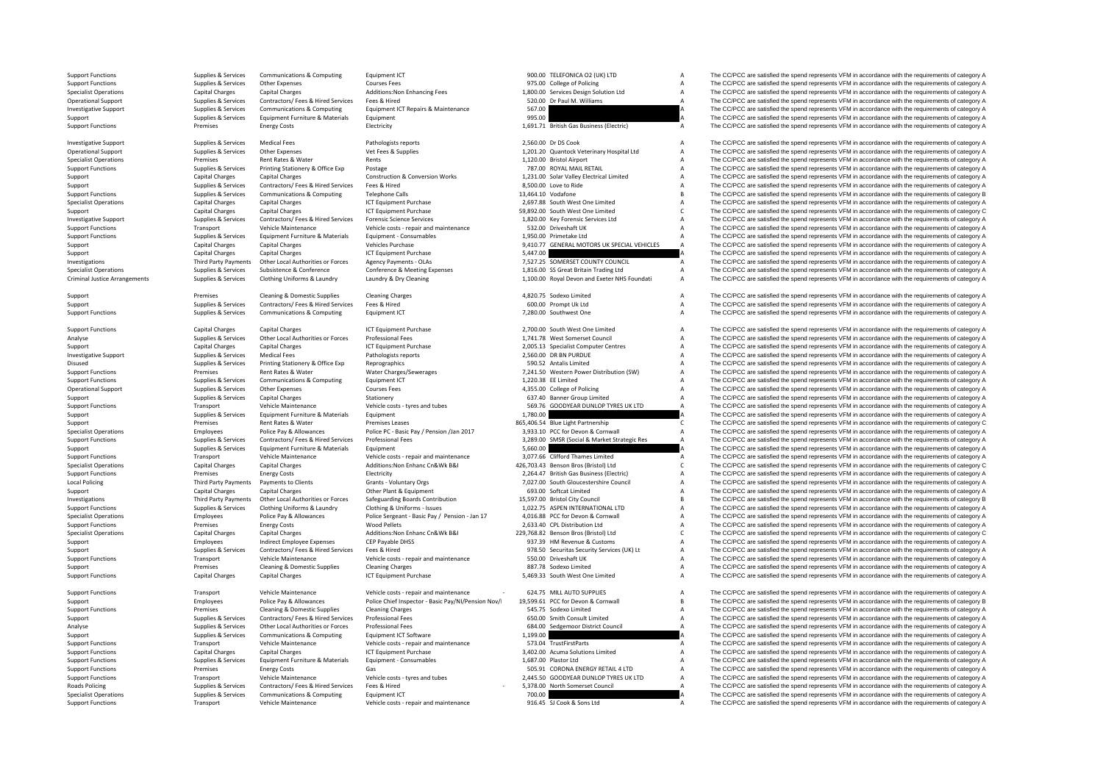Criminal Justice

**Local Policing** 

**Roads Policing** 

Support Functions Supplies & Supplies & Supplies & Communications & Computing Equipment ICT Support Equipment ICT 900.00 TELEFONICA O2 (UK) LTD A The CC/PCC are satisfied the spend represents VFM in accordance with the req Support Functions Supplies Services Other Expenses Courses Fees Courses Fees 975.00 College of Policing A The CC/PCC are satisfied the spend represents VFM in accordance with the requirements of category A The Crisis of th Specialist Operations Capital Charges Capital Charges Capital Charges Additions:Non Enhancing Fees 1,800.00 Services Design Solution Ltd A The CC/PCC are satisfied the spend represents VFM in accordance with the requiremen Operational Support Supplies & Services Contractors/ Fees & Hired Services Fees & Hired Hired Services Fees & Hired Services Fees & Hired Services Equipment ICT Repairs & Maintenance 567.00 Dr Paul M. Williams A The CC/PCC Supplies & Services Communications & Computing Equipment ICT Repairs & Maintenance 567.00 567.00 A The CC/PCC are satisfied the spend represents VFM in accordance with the requirements of category A Supplies & Services Equ Supplies & Services Equipment Furniture & Materials Equipment 1995.00 995.00 A The CC/PCC are satisfied the spend represents VFM in accordance with the requirements of category A Support Functions Premises Energy Costs Electricity Electricity Electricity 1,691.71 British Gas Business (Electric) A The CC/PCC are satisfied the spend represents VFM in accordance with the requirements of category A

Investigative Support Supplies & Supplies & Services Medical Fees Pathologists reports Pathologists reports 2,560.00 Dr DS Cook A The CC/PCC are satisfied the spend represents VFM in accordance with the requirements of cat Operational Support Supplies & Services Other Expenses Vet Fees & Supplies 1,201.20 Quantock Veterinary Hospital Ltd A The CC/PCC are satisfied the spend represents VFM in accordance with the requirements of category A The Specialist Operations Renties Rent Rates Rent Rent Rents Premises Rent Rates Rents A The CC/PCC are satisfied the spend represents VFM in accordance with the requirements of category A Support Functions Supplies Services Printing Stationery & Office Exp Postage 767.00 ROYAL MAIL RETAIL THIL THIL A The CC/PCC are satisfied the spend represents VFM in accordance with the requirements of category A<br>
Support Support Capital Charges Capital Charges Capital Charges Construction & Conversion Works 1,231.00 Solar Valley Electrical Limited A The CC/PCC are satisfied the spend represents VFM in accordance with the requirements of ca Support Supplies & Services Contractors/ Fees & Hired Services Fees & Hired Services Fees & Hired Services Fees & Hired A The CC/PCC are satisfied the spend represents VFM in accordance with the requirements of category A Support Functions Supplies & Services Communications & Computing Telephone Calls 13,464.10 Vodafone The CC/PCC are satisfied the spend represents VFM in accordance with the requirements of category B Specialist Operations Capital Charges Capital Charges Capital Charges ICT Equipment Purchase 2,697.88 South West One Limited A The CC/PCC are satisfied the spend represents VFM in accordance with the requirements of catego Support Capital Charges Capital Charges Capital Charges ICT Equipment Purchase 59,892.00 South West One Limited C The CC/PCC are satisfied the spend represents VFM in accordance with the requirements of category C Investigative Support Support Support Support Support Support Support Support Support Support Support Support<br>Transport Vehicle Maintenance Vehicle Costs - repair and maintenance 532.00 Driveshaft UK Maintenance A The CC/P Support Functions Transport Vehicle Maintenance Vehicle costs - repair and maintenance 532.00 Driveshaft UK A The CC/PCC are satisfied the spend represents VFM in accordance with the requirements of category A Support Func Support Functions Supplies & Services Equipment Furniture & Materials Equipment - Consumables 1,950.00 Primetake Ltd A The CC/PCC are satisfied the spend represents VFM in accordance with the requirements of category A The Support Capital Charges Capital Charges Vehicles Purchase 9,410.77 GENERAL MOTORS UK SPECIAL VEHICLES A The CC/PCC are satisfied the spend represents VFM in accordance with the requirements of category A Support Capital Charges Capital Charges ICT Equipment Purchase 5,447.00 5,447.00 A The CC/PCC are satisfied the spend represents VFM in accordance with the requirements of category A Third Party Payments Other Local Authorities or Forces Agency Payments - OLAS 7,527.25 SOMERSET COUNTY COUNCIL The CC/PCC are satisfied the spend represents VFM in accordance with the requirements of category A<br>
Supplies & Supplies & Services Subsistence & Conference Conference & Meeting Expenses 1,816.00 SS Great Britain Trading Ltd Manuform And The CC/PCC are satisfied the spend represents VFM in accordance with the requirements of categor The CC/PCC are satisfied the spend represents VFM in accordance with the requirements of category A

Support Premises Cleaning & Domestic Supplies Cleaning Charges Cleaning Charges A The SQLOTS Sodexo Limited A The CC/PCC are satisfied the spend represents VFM in accordance with the requirements of category A Support Supp SUPPORT OF SUPPORT OF SUPPORT SUPPORT SUPPORT SUPPORT SUPPORT SUPPORT AND SERVICE OF THE CONTRACTORS FEED OF THE CONTRACTORS FEED OF THE CONTRACTORS A THE CONTRACTORS A THE CONTRACTORS ARE SPEND OF THE CONTRACTORS AND THE Support Functions Communications Support Functions Communications Computing Equipment ICT 7,280.00 Southwest One A The CC/PCC are satisfied the spend represents VFM in accordance with the requirements of category A The CC/

Support Functions Capital Charges Capital Charges Capital Charges ICT Equipment Purchase 2,700.00 South West One Limited A The CC/PCC are satisfied the spend represents VFM in accordance with the requirements of category A Analyse Supplies & Services Other Local Authorities or Forces Professional Fees 1,741.78 West Somerset Council A The CC/PCC are satisfied the spend represents VFM in accordance with the requirements of category A Support Capital Charges Capital Charges Capital Charges ICT Equipment Purchase 2,005.13 Specialist Computer Centres A The CC/PCC are satisfied the spend represents VFM in accordance with the requirements of category A The Investigative Support Support Support Support Support Support Medical Fees Pathologists reports Pathologists reports 2,560.00 DR BN PURDUE A The CC/PCC are satisfied the spend represents VFM in accordance with the requirem Disused Supplies & Services Printing Stationery & Office Exp Reprographics Reprographics 590.52 Antalis Limited A The CC/PCC are satisfied the spend represents VFM in accordance with the requirements of category A Nate Con Support Functions Premises Rent Rates & Water Water Water Charges/Sewerages 7,241.50 Western Power Distribution (SW) A The CC/PCC are satisfied the spend represents VFM in accordance with the requirements of category A Support Functions Support Communications & Computing Foundment ICT 1,220.38 FEE Limited A The CC/PCC are satisfied the spend represents VFM in accordance with the requirements of category A Operational Support Supplies Services Other Expenses Courses Fees Courses Courses Courses Courses Fees and A The CC/PCC are satisfied the spend represents VFM in accordance with the requirements of category A Statisfied th Support Support Support Support Support Support Support Support Support Support Support Support Support Support Support Support Support Support Support Support Support Support Support Support Support Support Support Suppor Support Functions Transport Vehicle Maintenance Vehicle costs – tyres and tubes 569.76 GOODYEAR DUNLOP TYRES UK LTD A The CC/PCC are satisfied the spend represents VFM in accordance with the requirements of category A Supp Support Supplies & Services Equipment Furniture & Materials Equipment Equipment and the support and the spend of the CC/PCC are satisfied the spend represents VFM in accordance with the requirements of category A Support o Support Premises Rent Rates & Water Premises Leases 865,406.54 Blue Light Partnership C The CC/PCC are satisfied the spend represents VFM in accordance with the requirements of category C Specialist Operations The CC/PCC are satisfied the spend represents VFM in accordance with the requirements of category A Police Pay & Allowances Police PC - Basic Pay / Pension /Jan 2017 3,933.10 PCC for Devon & Cornwall Support Functions Supplies & Services Contractors/ Fees & Hired Services Professional Fees and a manufacture of the Same and the COPCC are satisfied the spend represents VFM in accordance with the requirements of category Supplies & Services Equipment Furniture & Materials Equipment Equipment 5,660.00 Support Support The CC/PCC are satisfied the spend represents VFM in accordance with the requirements of category A The CC/PCC are satisfied Support Functions Transport Vehicle Maintenance Vehicle Costs ‐ repair and maintenance 3,077.66 Clifford Thames Limited A The CC/PCC are satisfied the spend represents VFM in accordance with the requirements of category A Specialist Operations Capital Charges Capital Charges Additions:Non Enhanc Cn&Wk B&I 426,703.43 Benson Bros (Bristol) Ltd C The CC/PCC are satisfied the spend represents VFM in accordance with the requirements of category Premises Energy Costs Electricity Electricity 2,264.47 British Gas Business (Electric) A The CC/PCC are satisfied the spend represents VFM in accordance with the requirements of category A Policing Third Party Payments to Clients Scales of Crants - Voluntary Orgs 7,027.00 South Gloucestershire Council A The CC/PCC are satisfied the spend represents VFM in accordance with the requirements of category A Capita Support Capital Charges Capital Charges Other Plant & Equipment Charges Capital Charges Other Plant & Equipment<br>
A The CC/PCC are satisfied the spend represents VFM in accordance with the requirements of category A The Cap Third Party Payments Other Local Authorities or Forces Safeguarding Boards Contribution 15,597.00 Bristol City Council Control B The CC/PCC are satisfied the spend represents VFM in accordance with the requirements of cate Supplies & Services Clothing Uniforms & Laundry Clothing & Uniforms - Issues 1,022.75 ASPEN INTERNATIONAL LTD A The CC/PCC are satisfied the spend represents VFM in accordance with the requirements of category A<br>Specialist Specialist Operations The CC/PCC are satisfied the spend represents of the composite the spend of category Application and The CC/PCC are satisfied the spend represents VFM in accordance with the requirements of category A Support Functions Premises Energy Costs Wood Pellets 2,633.40 CPL Distribution Ltd A The CC/PCC are satisfied the spend represents VFM in accordance with the requirements of category A Constant Category A Constant Constant Specialist Operations Capital Charges Capital Charges Capital Charges Additions:Non Enhanc Cn&Wk B&I 229,768.82 Benson Bros (Bristol) Ltd C The CC/PCC are satisfied the spend represents VFM in accordance with the requireme Support Employees Indirect Employee Expenses CEP Payable DHSS 937.39 HM Revenue & Customs A The CC/PCC are satisfied the spend represents VFM in accordance with the requirements of category A<br>Support Support Support Suppor Support Supplies & Services Contractors/ Fees & Hired Services Fees & Hired 978.50 Securitas Security Services (UK) Lt A The CC/PCC are satisfied the spend represents VFM in accordance with the requirements of category A<br>S Support Functions Transport Vehicle Maintenance Vehicle costs - repair and maintenance 550.00 Driveshaft UK A The CC/PCC are satisfied the spend represents VFM in accordance with the requirements of category A Support Tran Support Premises Cleaning & Domestic Supplies Cleaning Charges 887.78 Sodexo Limited A The CC/PCC are satisfied the spend represents VFM in accordance with the requirements of category A Support Functions Capital Charges Capital Charges ICT Equipment Purchase 5,469.33 South West One Limited A The CC/PCC are satisfied the spend represents VFM in accordance with the requirements of category A

Support Functions Transport Vehicle Maintenance Vehicle costs - repair and maintenance - 624.75 MILL AUTO SUPPLIES A The CC/PCC are satisfied the spend represents VFM in accordance with the requirements of category A Employees Police Pay & Allowances Police Chief Inspector - Basic Pay/NI/Pension Nov/ 19,599.61 PCC for Devon & Cornwall The CC/PCC are satisfied the spend represents VFM in accordance with the requirements of category B<br>Pr Support Functions Premises Cleaning & Domestic Supplies Cleaning Charges Cleaning Charges Support Charges 545.75 Sodexo Limited A The CC/PCC are satisfied the spend represents VFM in accordance with the requirements of cat Contractors/ Fees & Hired Services Professional Fees 650.00 Smith Consult Limited A The CC/PCC are satisfied the spend represents VFM in accordance with the requirements of category A Contractors/ Fees Broad on the require Analyse Supplies & Services Other Local Authorities or Forces Professional Fees 684.00 Sedgemoor District Council A The CC/PCC are satisfied the spend represents VFM in accordance with the requirements of category A Support Supplies & Services Communications & Computing Equipment ICT Software 1,199.00 1,199.00 A The CC/PCC are satisfied the spend represents VFM in accordance with the requirements of category A Support Functions Transport Vehicle Maintenance Vehicle costs - repair and maintenance 573.04 TrustFirstParts A The CC/PCC are satisfied the spend represents VFM in accordance with the requirements of category A Support Fu Support Functions Capital Charges Capital Charges Capital Charges ICT Equipment Purchase 3,402.00 Acuma Solutions Limited A The CC/PCC are satisfied the spend represents VFM in accordance with the requirements of category Support Functions Supplies & Services Equipment Furniture & Materials Equipment - Consumables 1,687.00 Plastor Ltd A The CC/PCC are satisfied the spend represents VFM in accordance with the requirements of category A Servi Support Functions Premises Energy Costs Gas Gas Gas Support Functions Casts Content Costs Costs Casts Gas 505.91 CORONA ENERGY RETAIL 4 LTD A The CC/PCC are satisfied the spend represents VFM in accordance with the require Support Functions Transport Vehicle Maintenance Vehicle costs – tyres and tubes 2,445.50 GOODYEAR DUNLOP TYRES UK LTD A The CC/PCC are satisfied the spend represents VFM in accordance with the requirements of category A Ro Supplies & Services Contractors/ Fees & Hired Services Fees & Hired Fees & Hired Fees & Hired Fees & Hired Fees & Hired Fees & Hired Fees & Hired Fees & Hired Services Fees & Hired Services Fees & Hired Services Fees & Hir Specialist Operations Supplies Services Communications & Computing Equipment ICT 700.00 700.00 A The CC/PCC are satisfied the spend represents VFM in accordance with the requirements of category A Support Functions Transport Vehicle Maintenance Vehicle costs - repair and maintenance 916.45 SJ Cook & Sons Ltd A The CC/PCC are satisfied the spend represents VFM in accordance with the requirements of category A